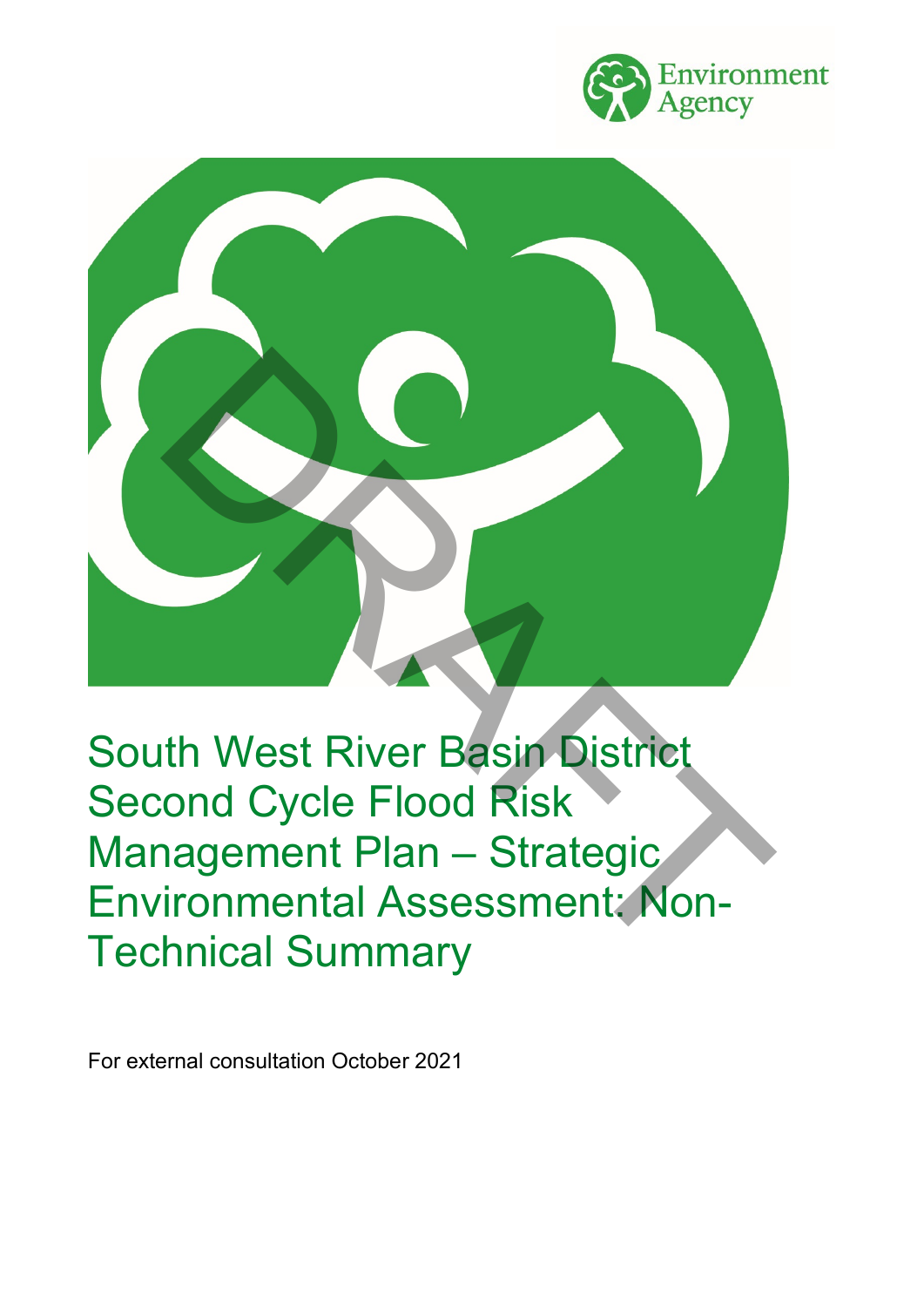



South West River Basin District Second Cycle Flood Risk Management Plan – Strategic Environmental Assessment: Non-Technical Summary

For external consultation October 2021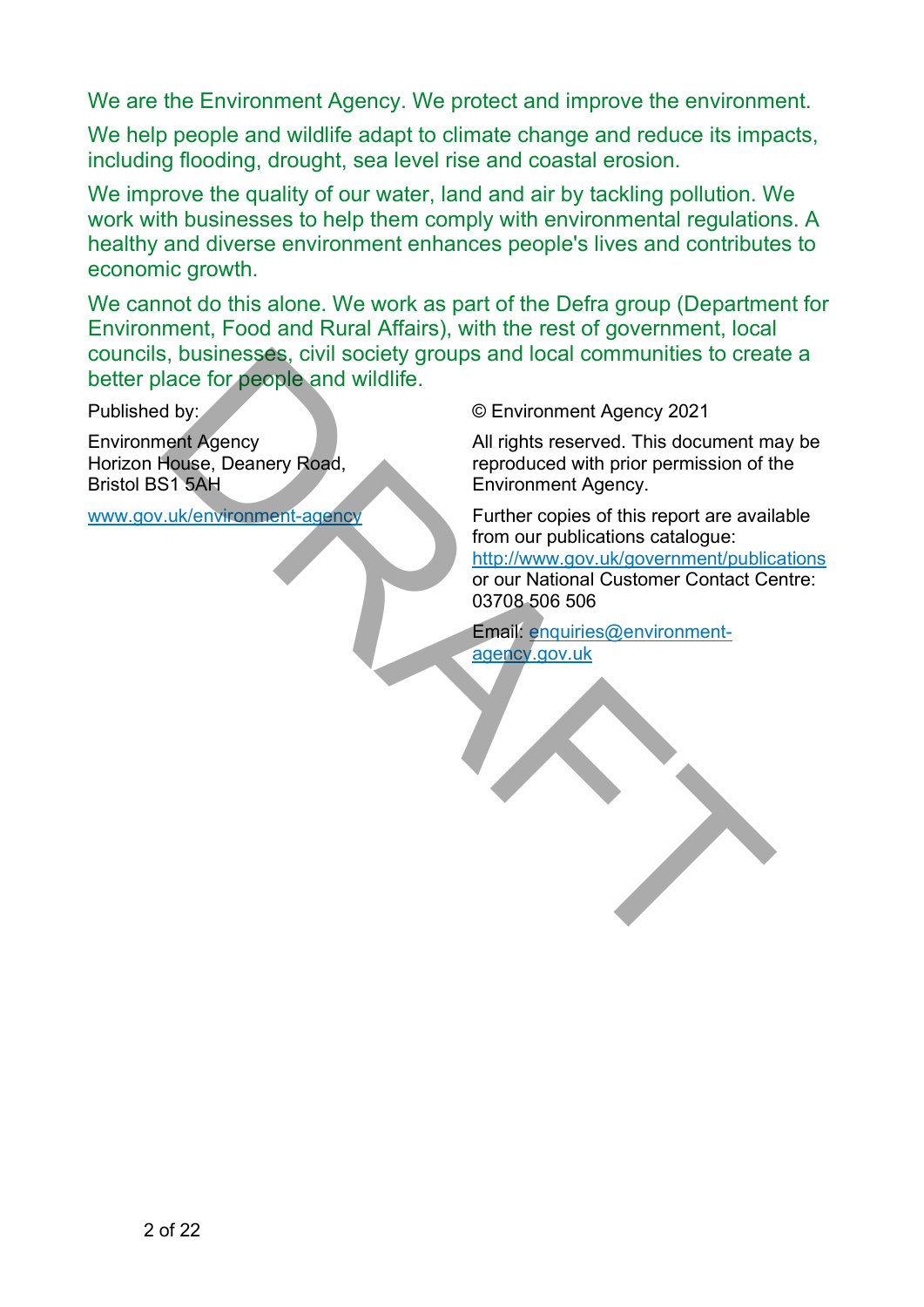We are the Environment Agency. We protect and improve the environment.

We help people and wildlife adapt to climate change and reduce its impacts, including flooding, drought, sea level rise and coastal erosion.

We improve the quality of our water, land and air by tackling pollution. We work with businesses to help them comply with environmental regulations. A healthy and diverse environment enhances people's lives and contributes to economic growth.

We cannot do this alone. We work as part of the Defra group (Department for Environment, Food and Rural Affairs), with the rest of government, local councils, businesses, civil society groups and local communities to create a better place for people and wildlife.

Published by:

Environment Agency Horizon House, Deanery Road, Bristol BS1 5AH

www.gov.uk/environment-agency

© Environment Agency 2021

All rights reserved. This document may be reproduced with prior permission of the Environment Agency.

Further copies of this report are available from our publications catalogue: http://www.gov.uk/government/publications or our National Customer Contact Centre: 03708 506 506 Susinesses, civil society groups and local communities to create<br>
alace for people and wildlife.<br>
(Christian Barry 2021<br>
Thus, Christian Barry 2021<br>
Thus, Denney Road,<br>
The produced with prior permission of the functions o

Email: enquiries@environmentagency.gov.uk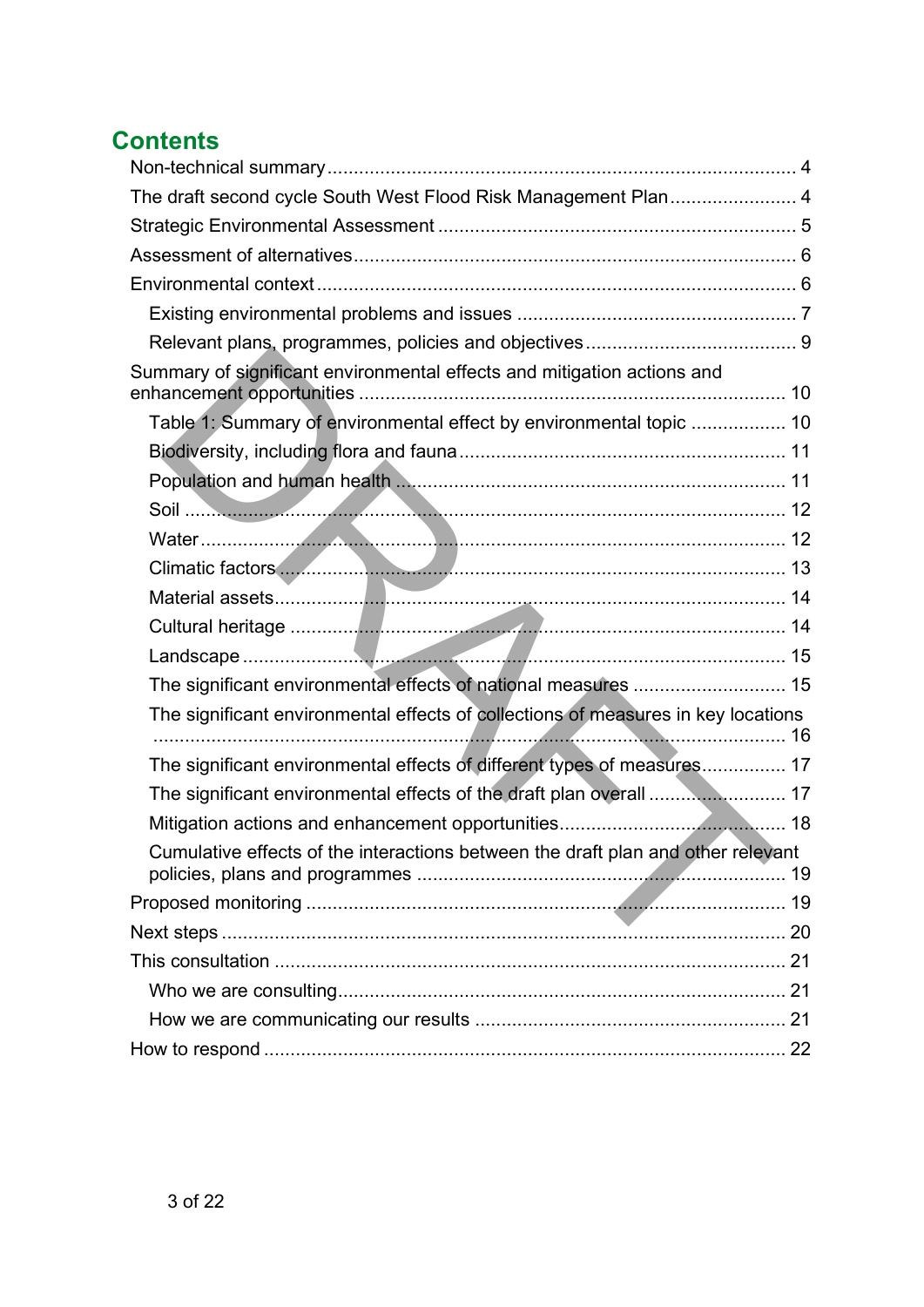# **Contents**

| The draft second cycle South West Flood Risk Management Plan 4                    |  |
|-----------------------------------------------------------------------------------|--|
|                                                                                   |  |
|                                                                                   |  |
|                                                                                   |  |
|                                                                                   |  |
|                                                                                   |  |
| Summary of significant environmental effects and mitigation actions and           |  |
| Table 1: Summary of environmental effect by environmental topic  10               |  |
|                                                                                   |  |
|                                                                                   |  |
|                                                                                   |  |
|                                                                                   |  |
|                                                                                   |  |
|                                                                                   |  |
|                                                                                   |  |
|                                                                                   |  |
| The significant environmental effects of national measures  15                    |  |
| The significant environmental effects of collections of measures in key locations |  |
| The significant environmental effects of different types of measures 17           |  |
| The significant environmental effects of the draft plan overall  17               |  |
|                                                                                   |  |
| Cumulative effects of the interactions between the draft plan and other relevant  |  |
|                                                                                   |  |
|                                                                                   |  |
|                                                                                   |  |
|                                                                                   |  |
|                                                                                   |  |
|                                                                                   |  |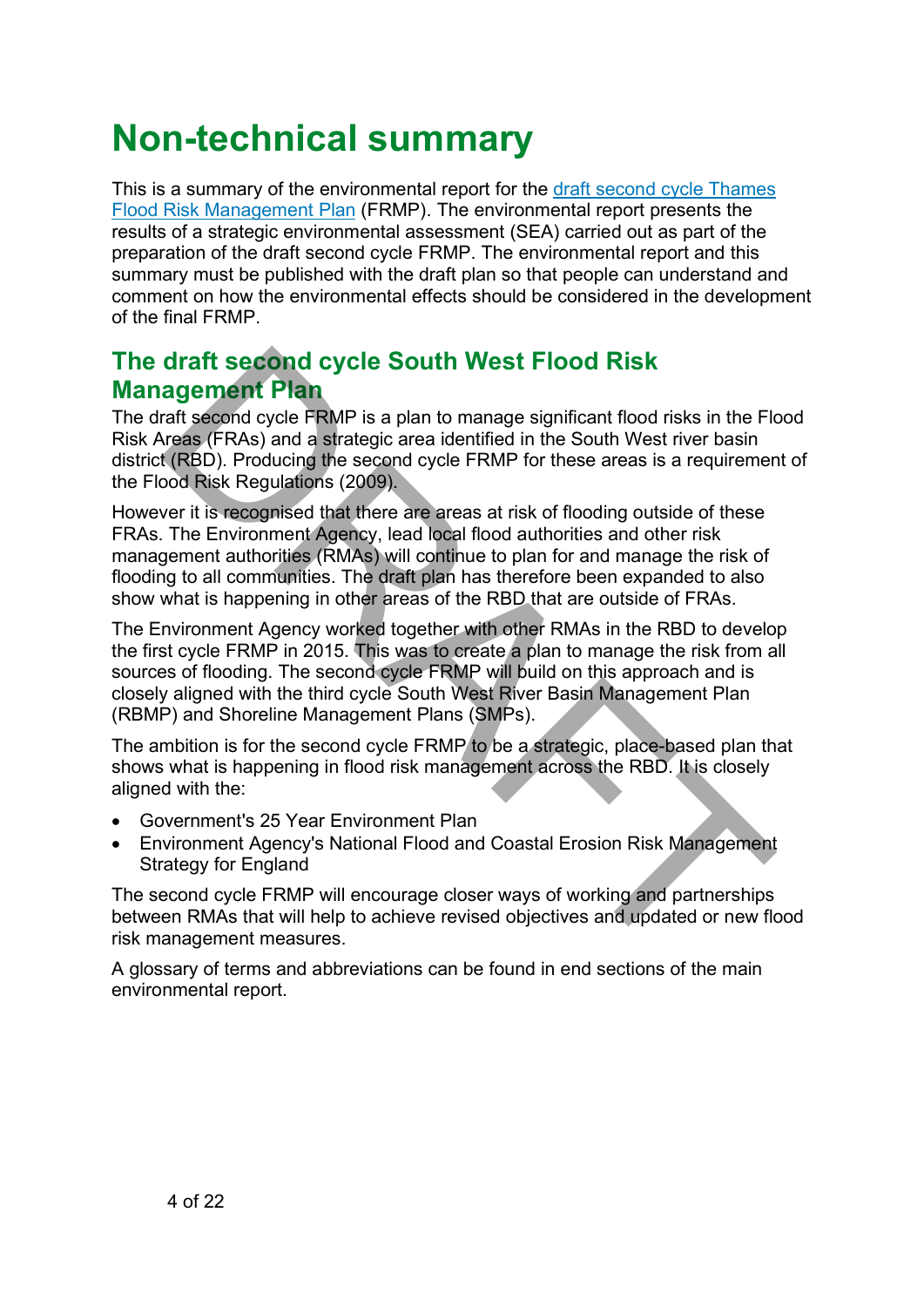# <span id="page-3-0"></span>**Non-technical summary**

<span id="page-3-1"></span>This is a summary of the environmental report for the [draft second cycle Thames](https://consult.environment-agency.gov.uk/fcrm/draft-second-cycle-flood-risk-management-plans)  [Flood Risk Management Plan](https://consult.environment-agency.gov.uk/fcrm/draft-second-cycle-flood-risk-management-plans) (FRMP). The environmental report presents the results of a strategic environmental assessment (SEA) carried out as part of the preparation of the draft second cycle FRMP. The environmental report and this summary must be published with the draft plan so that people can understand and comment on how the environmental effects should be considered in the development of the final FRMP.

### **The draft second cycle South West Flood Risk Management Plan**

The draft second cycle FRMP is a plan to manage significant flood risks in the Flood Risk Areas (FRAs) and a strategic area identified in the South West river basin district (RBD). Producing the second cycle FRMP for these areas is a requirement of the Flood Risk Regulations (2009).

However it is recognised that there are areas at risk of flooding outside of these FRAs. The Environment Agency, lead local flood authorities and other risk management authorities (RMAs) will continue to plan for and manage the risk of flooding to all communities. The draft plan has therefore been expanded to also show what is happening in other areas of the RBD that are outside of FRAs.

The Environment Agency worked together with other RMAs in the RBD to develop the first cycle FRMP in 2015. This was to create a plan to manage the risk from all sources of flooding. The second cycle FRMP will build on this approach and is closely aligned with the third cycle South West River Basin Management Plan (RBMP) and Shoreline Management Plans (SMPs). **draft second cycle South West Flood Risk**<br> **agement Plan**<br> **are assumed** cycle **FRMP** is a plan to manage significant flood risks in the Flan<br> **are assumed** cycle **FRMP** is a plan to manage significant flood risks in the

The ambition is for the second cycle FRMP to be a strategic, place-based plan that shows what is happening in flood risk management across the RBD. It is closely aligned with the:

- Government's 25 Year Environment Plan
- Environment Agency's National Flood and Coastal Erosion Risk Management Strategy for England

The second cycle FRMP will encourage closer ways of working and partnerships between RMAs that will help to achieve revised objectives and updated or new flood risk management measures.

A glossary of terms and abbreviations can be found in end sections of the main environmental report.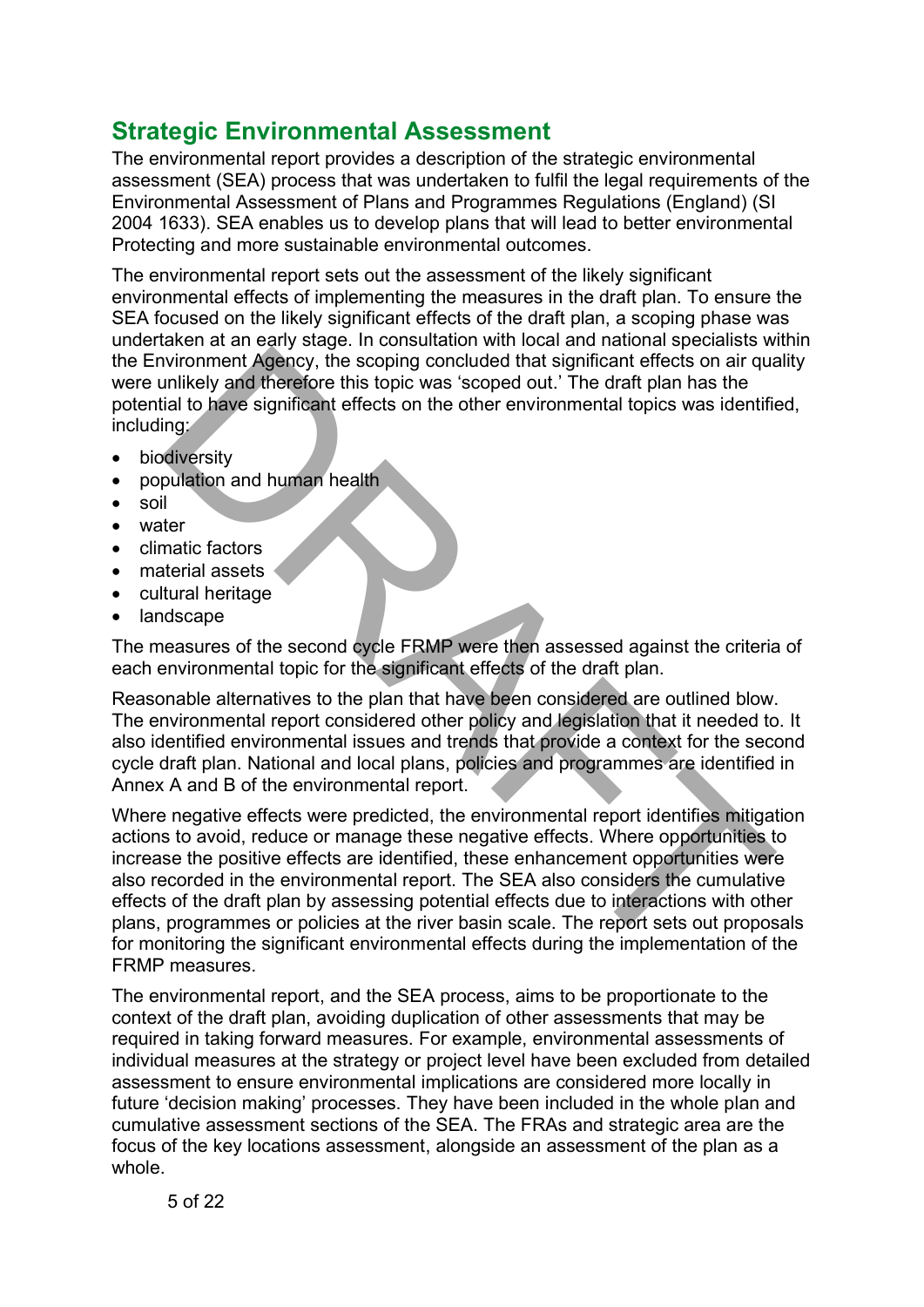# <span id="page-4-0"></span>**Strategic Environmental Assessment**

The environmental report provides a description of the strategic environmental assessment (SEA) process that was undertaken to fulfil the legal requirements of the Environmental Assessment of Plans and Programmes Regulations (England) (SI 2004 1633). SEA enables us to develop plans that will lead to better environmental Protecting and more sustainable environmental outcomes.

The environmental report sets out the assessment of the likely significant environmental effects of implementing the measures in the draft plan. To ensure the SEA focused on the likely significant effects of the draft plan, a scoping phase was undertaken at an early stage. In consultation with local and national specialists within the Environment Agency, the scoping concluded that significant effects on air quality were unlikely and therefore this topic was 'scoped out.' The draft plan has the potential to have significant effects on the other environmental topics was identified, including:

- **biodiversity**
- population and human health
- soil
- water
- climatic factors
- material assets
- cultural heritage
- landscape

The measures of the second cycle FRMP were then assessed against the criteria of each environmental topic for the significant effects of the draft plan.

Reasonable alternatives to the plan that have been considered are outlined blow. The environmental report considered other policy and legislation that it needed to. It also identified environmental issues and trends that provide a context for the second cycle draft plan. National and local plans, policies and programmes are identified in Annex A and B of the environmental report.

Where negative effects were predicted, the environmental report identifies mitigation actions to avoid, reduce or manage these negative effects. Where opportunities to increase the positive effects are identified, these enhancement opportunities were also recorded in the environmental report. The SEA also considers the cumulative effects of the draft plan by assessing potential effects due to interactions with other plans, programmes or policies at the river basin scale. The report sets out proposals for monitoring the significant environmental effects during the implementation of the FRMP measures. nvironment Agency, the scoping concluded that significant effects on air qualitiely and therefore this topic was 'scoped out.' The draft plan has the traitional term in the significant effects on the other environmental to

The environmental report, and the SEA process, aims to be proportionate to the context of the draft plan, avoiding duplication of other assessments that may be required in taking forward measures. For example, environmental assessments of individual measures at the strategy or project level have been excluded from detailed assessment to ensure environmental implications are considered more locally in future 'decision making' processes. They have been included in the whole plan and cumulative assessment sections of the SEA. The FRAs and strategic area are the focus of the key locations assessment, alongside an assessment of the plan as a whole.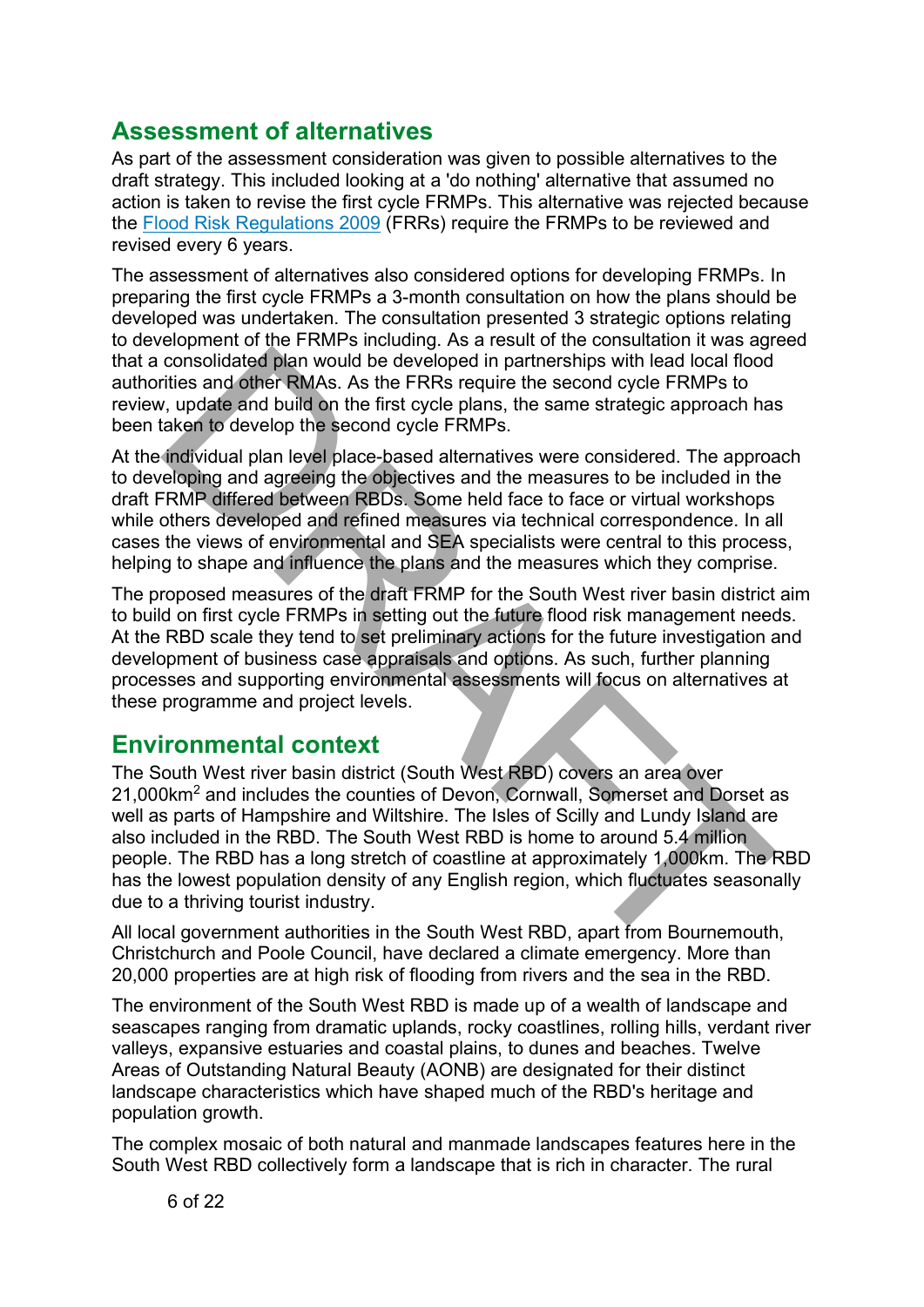### <span id="page-5-0"></span>**Assessment of alternatives**

As part of the assessment consideration was given to possible alternatives to the draft strategy. This included looking at a 'do nothing' alternative that assumed no action is taken to revise the first cycle FRMPs. This alternative was rejected because the [Flood Risk Regulations 2009](https://www.legislation.gov.uk/uksi/2009/3042/contents/made) (FRRs) require the FRMPs to be reviewed and revised every 6 years.

The assessment of alternatives also considered options for developing FRMPs. In preparing the first cycle FRMPs a 3-month consultation on how the plans should be developed was undertaken. The consultation presented 3 strategic options relating to development of the FRMPs including. As a result of the consultation it was agreed that a consolidated plan would be developed in partnerships with lead local flood authorities and other RMAs. As the FRRs require the second cycle FRMPs to review, update and build on the first cycle plans, the same strategic approach has been taken to develop the second cycle FRMPs.

At the individual plan level place-based alternatives were considered. The approach to developing and agreeing the objectives and the measures to be included in the draft FRMP differed between RBDs. Some held face to face or virtual workshops while others developed and refined measures via technical correspondence. In all cases the views of environmental and SEA specialists were central to this process, helping to shape and influence the plans and the measures which they comprise.

The proposed measures of the draft FRMP for the South West river basin district aim to build on first cycle FRMPs in setting out the future flood risk management needs. At the RBD scale they tend to set preliminary actions for the future investigation and development of business case appraisals and options. As such, further planning processes and supporting environmental assessments will focus on alternatives at these programme and project levels.

### <span id="page-5-1"></span>**Environmental context**

The South West river basin district (South West RBD) covers an area over 21,000km2 and includes the counties of Devon, Cornwall, Somerset and Dorset as well as parts of Hampshire and Wiltshire. The Isles of Scilly and Lundy Island are also included in the RBD. The South West RBD is home to around 5.4 million people. The RBD has a long stretch of coastline at approximately 1,000km. The RBD has the lowest population density of any English region, which fluctuates seasonally due to a thriving tourist industry. consolidated plan would be developed in partnerships with lead local flood<br>titles and other RMAs. As the FRRS require the second cycle FRMPs to<br>this it and other RMAs. As the FRRS require the second cycle FRMPs to<br>taken to

All local government authorities in the South West RBD, apart from Bournemouth, Christchurch and Poole Council, have declared a climate emergency. More than 20,000 properties are at high risk of flooding from rivers and the sea in the RBD.

The environment of the South West RBD is made up of a wealth of landscape and seascapes ranging from dramatic uplands, rocky coastlines, rolling hills, verdant river valleys, expansive estuaries and coastal plains, to dunes and beaches. Twelve Areas of Outstanding Natural Beauty (AONB) are designated for their distinct landscape characteristics which have shaped much of the RBD's heritage and population growth.

The complex mosaic of both natural and manmade landscapes features here in the South West RBD collectively form a landscape that is rich in character. The rural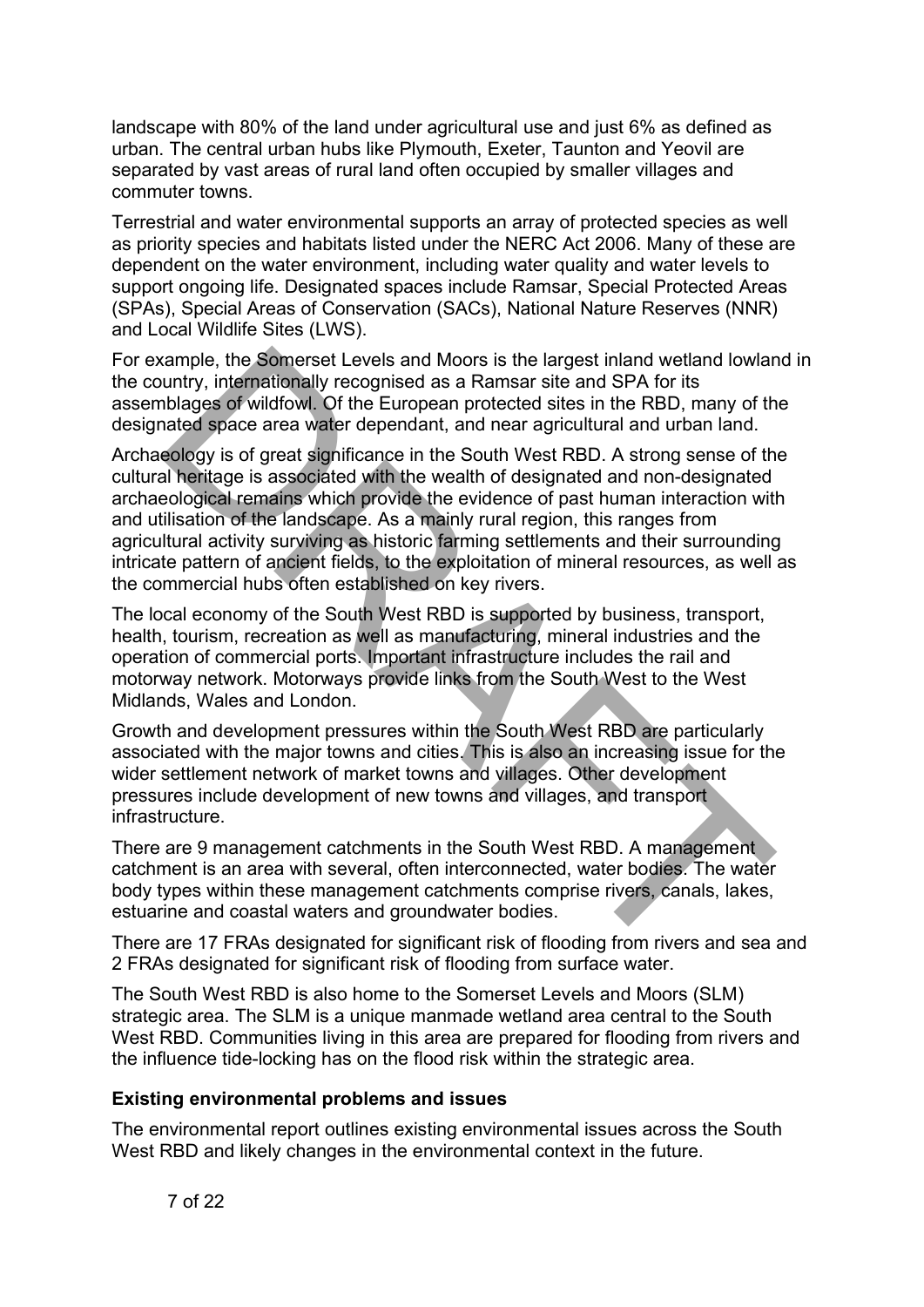landscape with 80% of the land under agricultural use and just 6% as defined as urban. The central urban hubs like Plymouth, Exeter, Taunton and Yeovil are separated by vast areas of rural land often occupied by smaller villages and commuter towns.

Terrestrial and water environmental supports an array of protected species as well as priority species and habitats listed under the NERC Act 2006. Many of these are dependent on the water environment, including water quality and water levels to support ongoing life. Designated spaces include Ramsar, Special Protected Areas (SPAs), Special Areas of Conservation (SACs), National Nature Reserves (NNR) and Local Wildlife Sites (LWS).

For example, the Somerset Levels and Moors is the largest inland wetland lowland in the country, internationally recognised as a Ramsar site and SPA for its assemblages of wildfowl. Of the European protected sites in the RBD, many of the designated space area water dependant, and near agricultural and urban land.

Archaeology is of great significance in the South West RBD. A strong sense of the cultural heritage is associated with the wealth of designated and non-designated archaeological remains which provide the evidence of past human interaction with and utilisation of the landscape. As a mainly rural region, this ranges from agricultural activity surviving as historic farming settlements and their surrounding intricate pattern of ancient fields, to the exploitation of mineral resources, as well as the commercial hubs often established on key rivers. cample, the Somerset Levels and Moors is the largest inland wetland lowlar<br>untry, internationally recognised as a Ramsar stie and SPA for its<br>ublages of widfowl. Of the European protected sites in the RBD, many of th<br>anded

The local economy of the South West RBD is supported by business, transport, health, tourism, recreation as well as manufacturing, mineral industries and the operation of commercial ports. Important infrastructure includes the rail and motorway network. Motorways provide links from the South West to the West Midlands, Wales and London.

Growth and development pressures within the South West RBD are particularly associated with the major towns and cities. This is also an increasing issue for the wider settlement network of market towns and villages. Other development pressures include development of new towns and villages, and transport infrastructure.

There are 9 management catchments in the South West RBD. A management catchment is an area with several, often interconnected, water bodies. The water body types within these management catchments comprise rivers, canals, lakes, estuarine and coastal waters and groundwater bodies.

There are 17 FRAs designated for significant risk of flooding from rivers and sea and 2 FRAs designated for significant risk of flooding from surface water.

The South West RBD is also home to the Somerset Levels and Moors (SLM) strategic area. The SLM is a unique manmade wetland area central to the South West RBD. Communities living in this area are prepared for flooding from rivers and the influence tide-locking has on the flood risk within the strategic area.

#### <span id="page-6-0"></span>**Existing environmental problems and issues**

The environmental report outlines existing environmental issues across the South West RBD and likely changes in the environmental context in the future.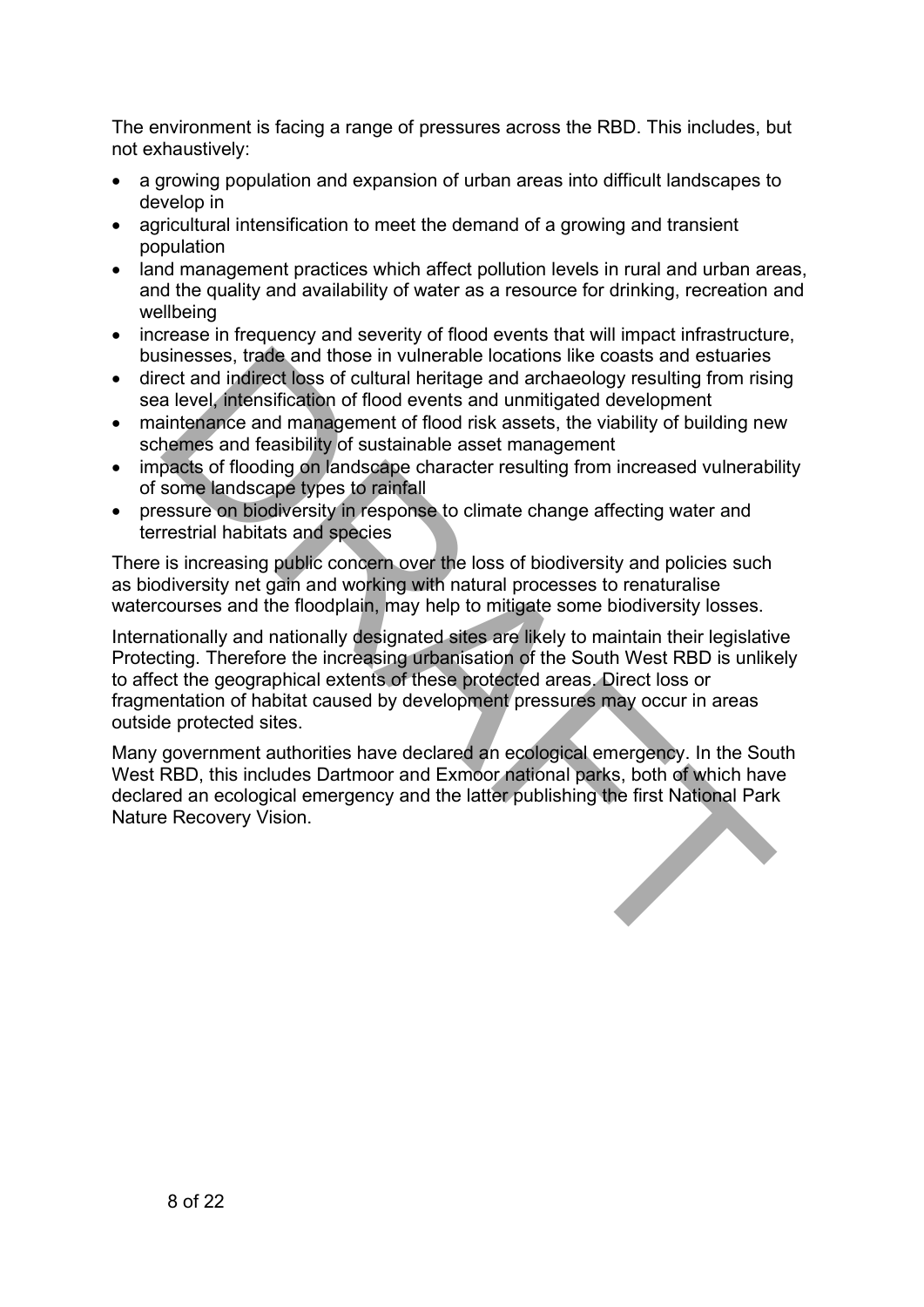The environment is facing a range of pressures across the RBD. This includes, but not exhaustively:

- a growing population and expansion of urban areas into difficult landscapes to develop in
- agricultural intensification to meet the demand of a growing and transient population
- land management practices which affect pollution levels in rural and urban areas, and the quality and availability of water as a resource for drinking, recreation and wellbeing
- increase in frequency and severity of flood events that will impact infrastructure, businesses, trade and those in vulnerable locations like coasts and estuaries
- direct and indirect loss of cultural heritage and archaeology resulting from rising sea level, intensification of flood events and unmitigated development
- maintenance and management of flood risk assets, the viability of building new schemes and feasibility of sustainable asset management
- impacts of flooding on landscape character resulting from increased vulnerability of some landscape types to rainfall
- pressure on biodiversity in response to climate change affecting water and terrestrial habitats and species

There is increasing public concern over the loss of biodiversity and policies such as biodiversity net gain and working with natural processes to renaturalise watercourses and the floodplain, may help to mitigate some biodiversity losses.

Internationally and nationally designated sites are likely to maintain their legislative Protecting. Therefore the increasing urbanisation of the South West RBD is unlikely to affect the geographical extents of these protected areas. Direct loss or fragmentation of habitat caused by development pressures may occur in areas outside protected sites. sinesses, trade and those in vulnerable locations like coasts and estuaries<br>ect and indiffect loss of cultural heritage and archaeology resulting from risin<br>a level, intensification of flood events and unmitigated developm

Many government authorities have declared an ecological emergency. In the South West RBD, this includes Dartmoor and Exmoor national parks, both of which have declared an ecological emergency and the latter publishing the first National Park Nature Recovery Vision.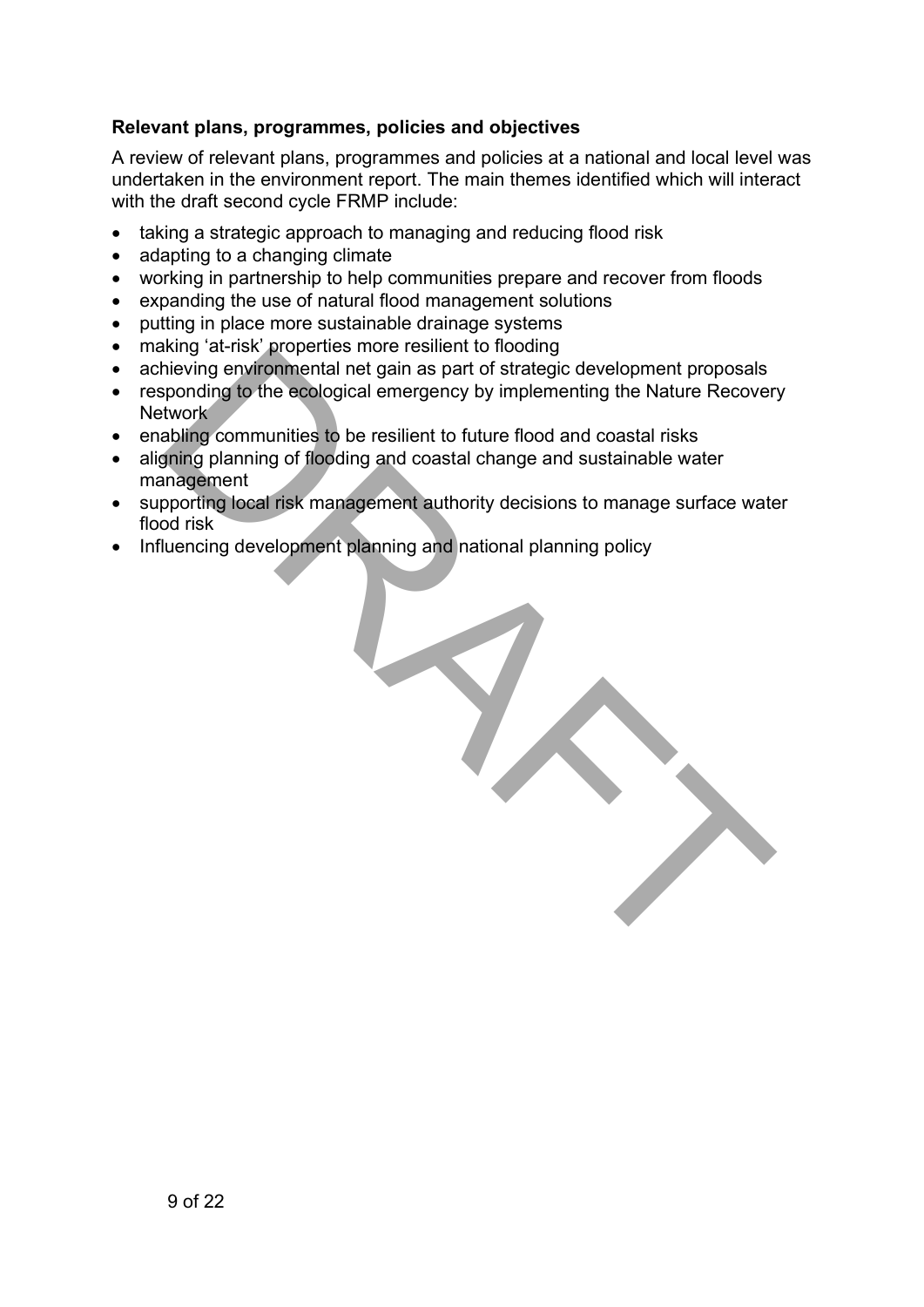#### <span id="page-8-0"></span>**Relevant plans, programmes, policies and objectives**

A review of relevant plans, programmes and policies at a national and local level was undertaken in the environment report. The main themes identified which will interact with the draft second cycle FRMP include:

- taking a strategic approach to managing and reducing flood risk
- adapting to a changing climate
- working in partnership to help communities prepare and recover from floods
- expanding the use of natural flood management solutions
- putting in place more sustainable drainage systems
- making 'at-risk' properties more resilient to flooding
- achieving environmental net gain as part of strategic development proposals
- responding to the ecological emergency by implementing the Nature Recovery Network
- enabling communities to be resilient to future flood and coastal risks
- aligning planning of flooding and coastal change and sustainable water management
- supporting local risk management authority decisions to manage surface water flood risk
- Influencing development planning and national planning policy

| $\frac{1}{2}$ at is properties increasing it to not any<br>hieving environmental net gain as part of strategic development proposals<br>sponding to the ecological emergency by implementing the Nature Recovery<br>twork <sup>®</sup> |
|----------------------------------------------------------------------------------------------------------------------------------------------------------------------------------------------------------------------------------------|
| abling communities to be resilient to future flood and coastal risks<br>gning planning of flooding and coastal change and sustainable water<br>anagement                                                                               |
| pporting local risk management authority decisions to manage surface wate<br>od risk                                                                                                                                                   |
| luencing development planning and national planning policy                                                                                                                                                                             |
|                                                                                                                                                                                                                                        |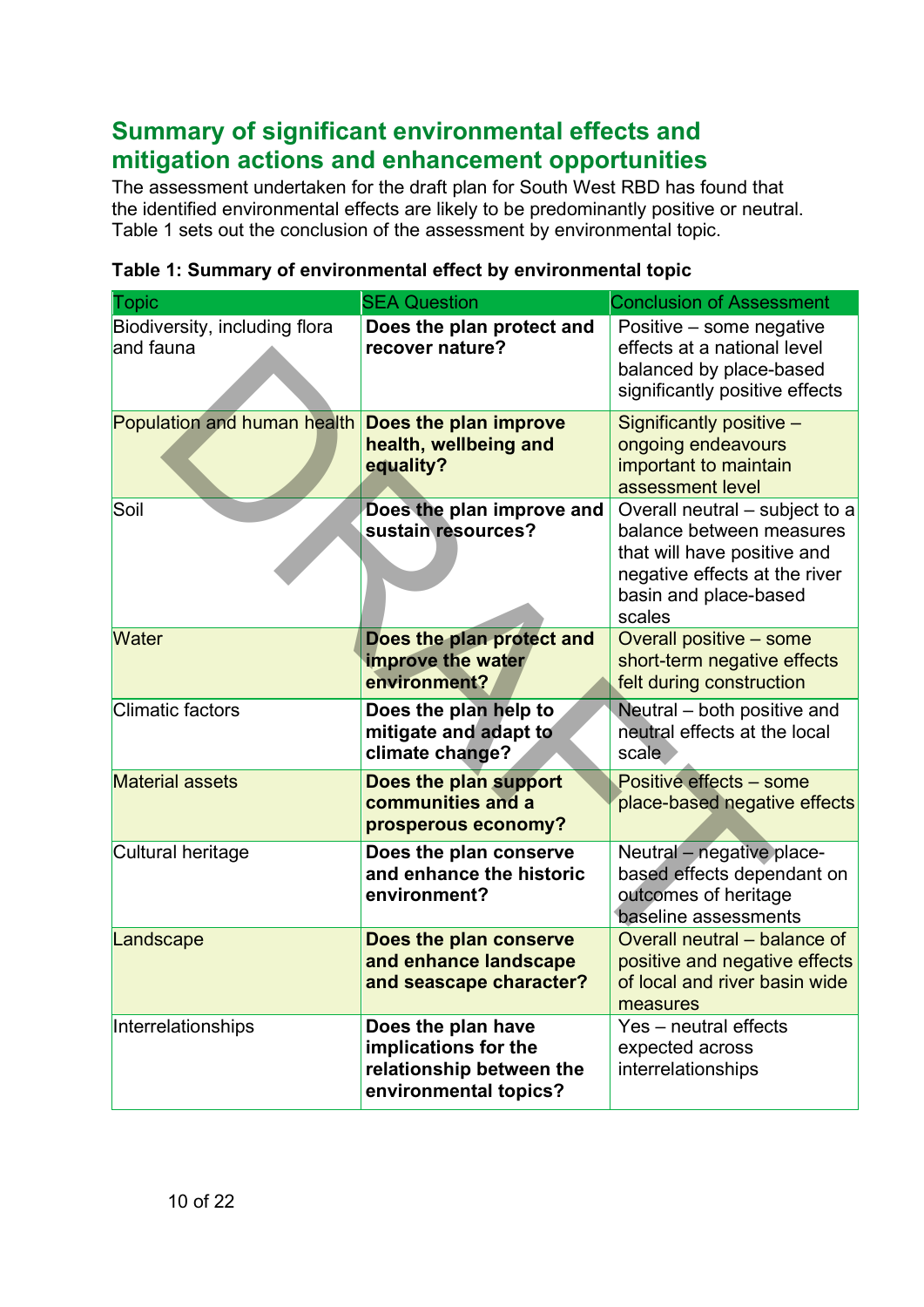# <span id="page-9-0"></span>**Summary of significant environmental effects and mitigation actions and enhancement opportunities**

The assessment undertaken for the draft plan for South West RBD has found that the identified environmental effects are likely to be predominantly positive or neutral. Table 1 sets out the conclusion of the assessment by environmental topic.

| <b>Topic</b>                               | <b>SEA Question</b>                                                                             | <b>Conclusion of Assessment</b>                                                                                                                               |
|--------------------------------------------|-------------------------------------------------------------------------------------------------|---------------------------------------------------------------------------------------------------------------------------------------------------------------|
| Biodiversity, including flora<br>and fauna | Does the plan protect and<br>recover nature?                                                    | Positive - some negative<br>effects at a national level<br>balanced by place-based<br>significantly positive effects                                          |
| Population and human health                | Does the plan improve<br>health, wellbeing and<br>equality?                                     | Significantly positive -<br>ongoing endeavours<br>important to maintain<br>assessment level                                                                   |
| Soil                                       | Does the plan improve and<br>sustain resources?                                                 | Overall neutral – subject to a<br>balance between measures<br>that will have positive and<br>negative effects at the river<br>basin and place-based<br>scales |
| <b>Water</b>                               | Does the plan protect and<br>improve the water<br>environment?                                  | Overall positive - some<br>short-term negative effects<br>felt during construction                                                                            |
| <b>Climatic factors</b>                    | Does the plan help to<br>mitigate and adapt to<br>climate change?                               | Neutral – both positive and<br>neutral effects at the local<br>scale                                                                                          |
| <b>Material assets</b>                     | Does the plan support<br>communities and a<br>prosperous economy?                               | <b>Positive effects - some</b><br>place-based negative effects                                                                                                |
| Cultural heritage                          | Does the plan conserve<br>and enhance the historic<br>environment?                              | Neutral - negative place-<br>based effects dependant on<br>outcomes of heritage<br>baseline assessments                                                       |
| Landscape                                  | Does the plan conserve<br>and enhance landscape<br>and seascape character?                      | Overall neutral – balance of<br>positive and negative effects<br>of local and river basin wide<br>measures                                                    |
| Interrelationships                         | Does the plan have<br>implications for the<br>relationship between the<br>environmental topics? | Yes - neutral effects<br>expected across<br>interrelationships                                                                                                |

#### <span id="page-9-1"></span>**Table 1: Summary of environmental effect by environmental topic**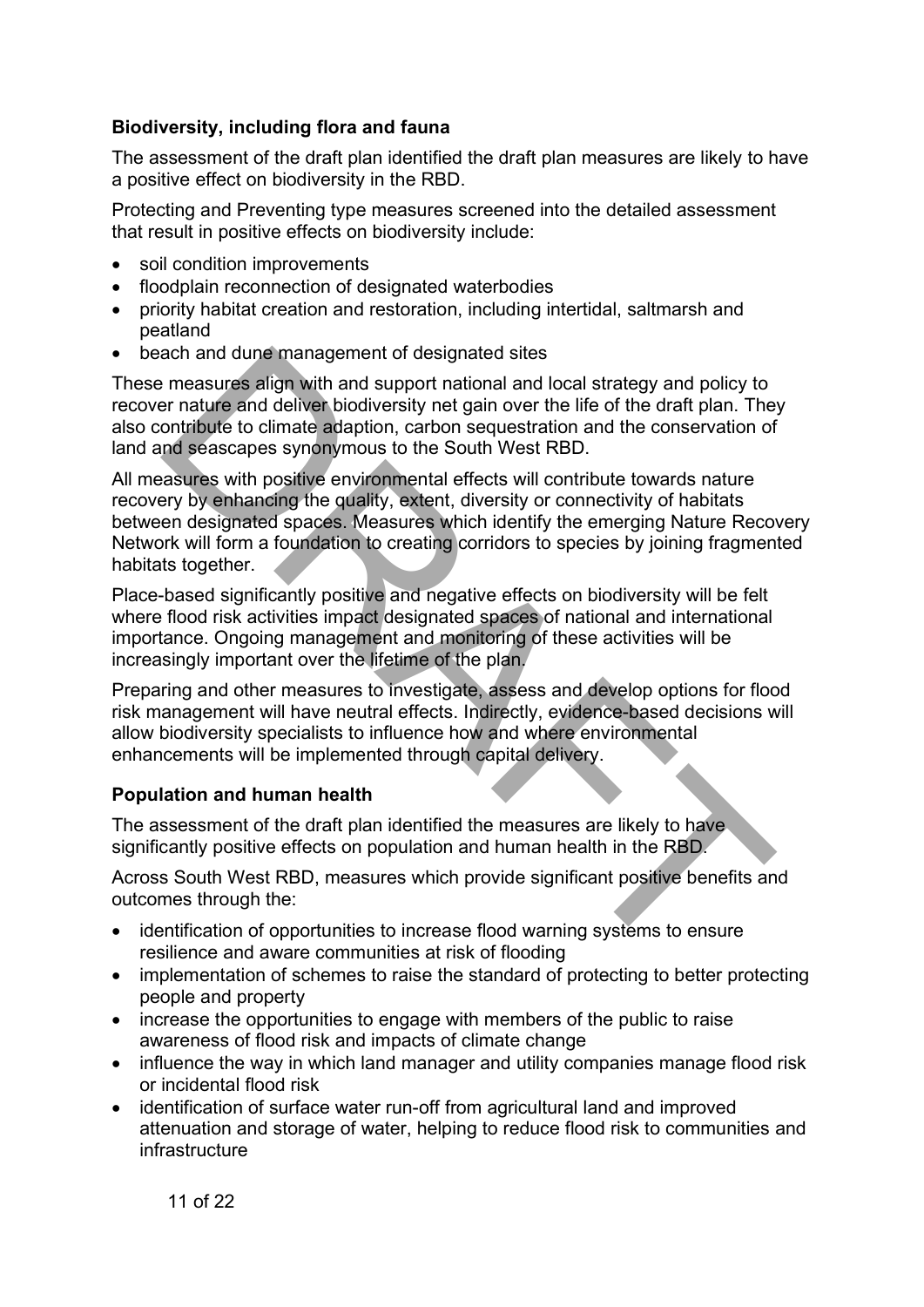#### <span id="page-10-0"></span>**Biodiversity, including flora and fauna**

The assessment of the draft plan identified the draft plan measures are likely to have a positive effect on biodiversity in the RBD.

Protecting and Preventing type measures screened into the detailed assessment that result in positive effects on biodiversity include:

- soil condition improvements
- floodplain reconnection of designated waterbodies
- priority habitat creation and restoration, including intertidal, saltmarsh and peatland
- beach and dune management of designated sites

These measures align with and support national and local strategy and policy to recover nature and deliver biodiversity net gain over the life of the draft plan. They also contribute to climate adaption, carbon sequestration and the conservation of land and seascapes synonymous to the South West RBD.

All measures with positive environmental effects will contribute towards nature recovery by enhancing the quality, extent, diversity or connectivity of habitats between designated spaces. Measures which identify the emerging Nature Recovery Network will form a foundation to creating corridors to species by joining fragmented habitats together. ach and dune management of designated sites<br>
measures align with and support national and local strategy and policy to<br>
measures align with and support national and local strategy and policy to<br>
er nature and deliver biodi

Place-based significantly positive and negative effects on biodiversity will be felt where flood risk activities impact designated spaces of national and international importance. Ongoing management and monitoring of these activities will be increasingly important over the lifetime of the plan.

Preparing and other measures to investigate, assess and develop options for flood risk management will have neutral effects. Indirectly, evidence-based decisions will allow biodiversity specialists to influence how and where environmental enhancements will be implemented through capital delivery.

#### <span id="page-10-1"></span>**Population and human health**

The assessment of the draft plan identified the measures are likely to have significantly positive effects on population and human health in the RBD.

Across South West RBD, measures which provide significant positive benefits and outcomes through the:

- identification of opportunities to increase flood warning systems to ensure resilience and aware communities at risk of flooding
- implementation of schemes to raise the standard of protecting to better protecting people and property
- increase the opportunities to engage with members of the public to raise awareness of flood risk and impacts of climate change
- influence the way in which land manager and utility companies manage flood risk or incidental flood risk
- identification of surface water run-off from agricultural land and improved attenuation and storage of water, helping to reduce flood risk to communities and infrastructure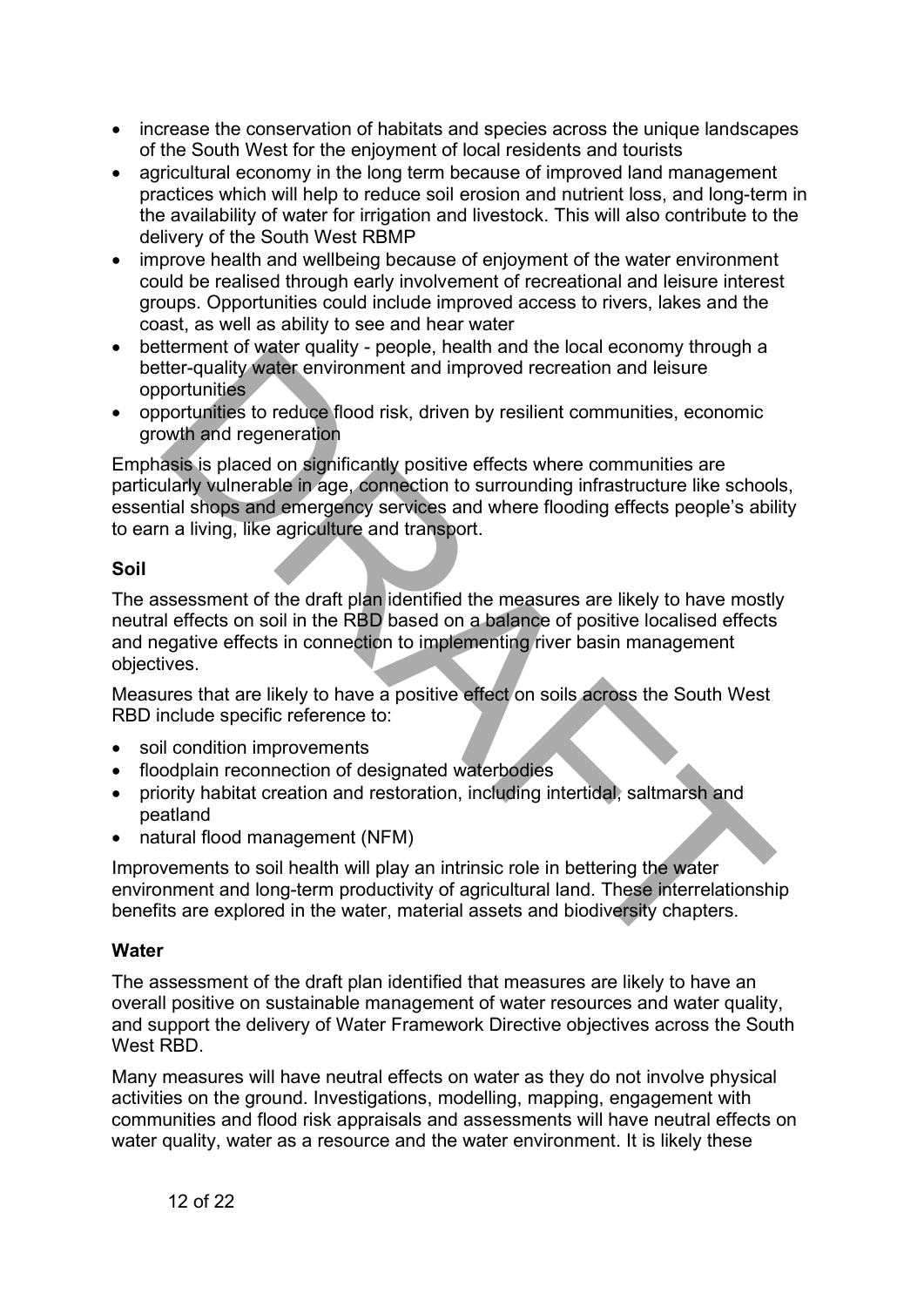- increase the conservation of habitats and species across the unique landscapes of the South West for the enjoyment of local residents and tourists
- agricultural economy in the long term because of improved land management practices which will help to reduce soil erosion and nutrient loss, and long-term in the availability of water for irrigation and livestock. This will also contribute to the delivery of the South West RBMP
- improve health and wellbeing because of enjoyment of the water environment could be realised through early involvement of recreational and leisure interest groups. Opportunities could include improved access to rivers, lakes and the coast, as well as ability to see and hear water
- betterment of water quality people, health and the local economy through a better-quality water environment and improved recreation and leisure opportunities
- opportunities to reduce flood risk, driven by resilient communities, economic growth and regeneration

Emphasis is placed on significantly positive effects where communities are particularly vulnerable in age, connection to surrounding infrastructure like schools, essential shops and emergency services and where flooding effects people's ability to earn a living, like agriculture and transport. ware quality water environment and improved recreation and listeneously with the cuality water environment and improved recreation and leisure<br>portunities to reduce flood risk, driven by resilient communities, economic<br>por

#### <span id="page-11-0"></span>**Soil**

The assessment of the draft plan identified the measures are likely to have mostly neutral effects on soil in the RBD based on a balance of positive localised effects and negative effects in connection to implementing river basin management objectives.

Measures that are likely to have a positive effect on soils across the South West RBD include specific reference to:

- soil condition improvements
- floodplain reconnection of designated waterbodies
- priority habitat creation and restoration, including intertidal, saltmarsh and peatland
- natural flood management (NFM)

Improvements to soil health will play an intrinsic role in bettering the water environment and long-term productivity of agricultural land. These interrelationship benefits are explored in the water, material assets and biodiversity chapters.

#### <span id="page-11-1"></span>**Water**

The assessment of the draft plan identified that measures are likely to have an overall positive on sustainable management of water resources and water quality, and support the delivery of Water Framework Directive objectives across the South West RBD.

Many measures will have neutral effects on water as they do not involve physical activities on the ground. Investigations, modelling, mapping, engagement with communities and flood risk appraisals and assessments will have neutral effects on water quality, water as a resource and the water environment. It is likely these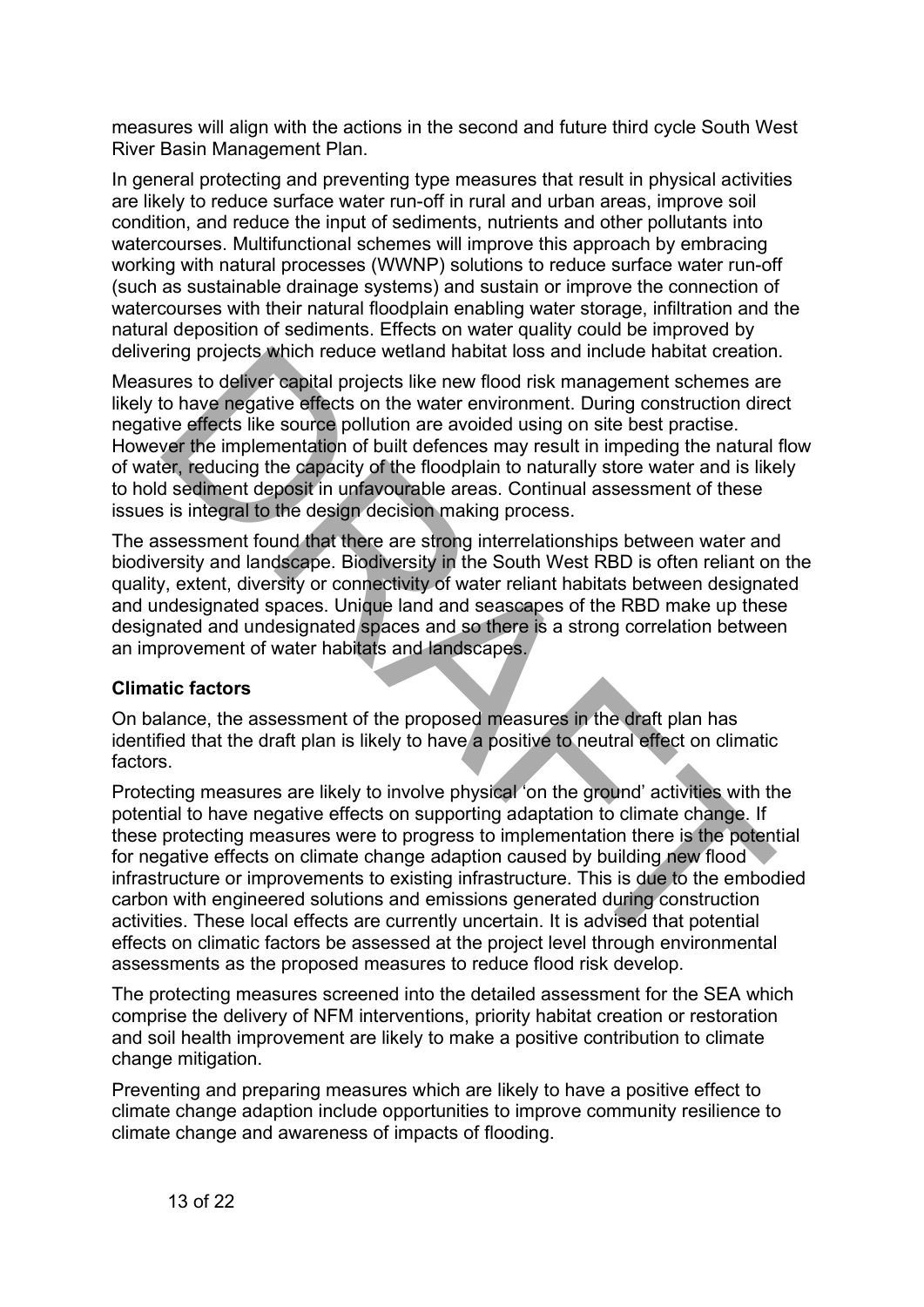measures will align with the actions in the second and future third cycle South West River Basin Management Plan.

In general protecting and preventing type measures that result in physical activities are likely to reduce surface water run-off in rural and urban areas, improve soil condition, and reduce the input of sediments, nutrients and other pollutants into watercourses. Multifunctional schemes will improve this approach by embracing working with natural processes (WWNP) solutions to reduce surface water run-off (such as sustainable drainage systems) and sustain or improve the connection of watercourses with their natural floodplain enabling water storage, infiltration and the natural deposition of sediments. Effects on water quality could be improved by delivering projects which reduce wetland habitat loss and include habitat creation.

Measures to deliver capital projects like new flood risk management schemes are likely to have negative effects on the water environment. During construction direct negative effects like source pollution are avoided using on site best practise. However the implementation of built defences may result in impeding the natural flow of water, reducing the capacity of the floodplain to naturally store water and is likely to hold sediment deposit in unfavourable areas. Continual assessment of these issues is integral to the design decision making process.

The assessment found that there are strong interrelationships between water and biodiversity and landscape. Biodiversity in the South West RBD is often reliant on the quality, extent, diversity or connectivity of water reliant habitats between designated and undesignated spaces. Unique land and seascapes of the RBD make up these designated and undesignated spaces and so there is a strong correlation between an improvement of water habitats and landscapes.

#### <span id="page-12-0"></span>**Climatic factors**

On balance, the assessment of the proposed measures in the draft plan has identified that the draft plan is likely to have a positive to neutral effect on climatic factors.

Protecting measures are likely to involve physical 'on the ground' activities with the potential to have negative effects on supporting adaptation to climate change. If these protecting measures were to progress to implementation there is the potential for negative effects on climate change adaption caused by building new flood infrastructure or improvements to existing infrastructure. This is due to the embodied carbon with engineered solutions and emissions generated during construction activities. These local effects are currently uncertain. It is advised that potential effects on climatic factors be assessed at the project level through environmental assessments as the proposed measures to reduce flood risk develop. ring projects which reduce wetland habitat loss and include habitat creation<br>urs to deliver eapital projects like new flood risk management schemes are<br>to have negative effects like source pollution are avoided using on si

The protecting measures screened into the detailed assessment for the SEA which comprise the delivery of NFM interventions, priority habitat creation or restoration and soil health improvement are likely to make a positive contribution to climate change mitigation.

Preventing and preparing measures which are likely to have a positive effect to climate change adaption include opportunities to improve community resilience to climate change and awareness of impacts of flooding.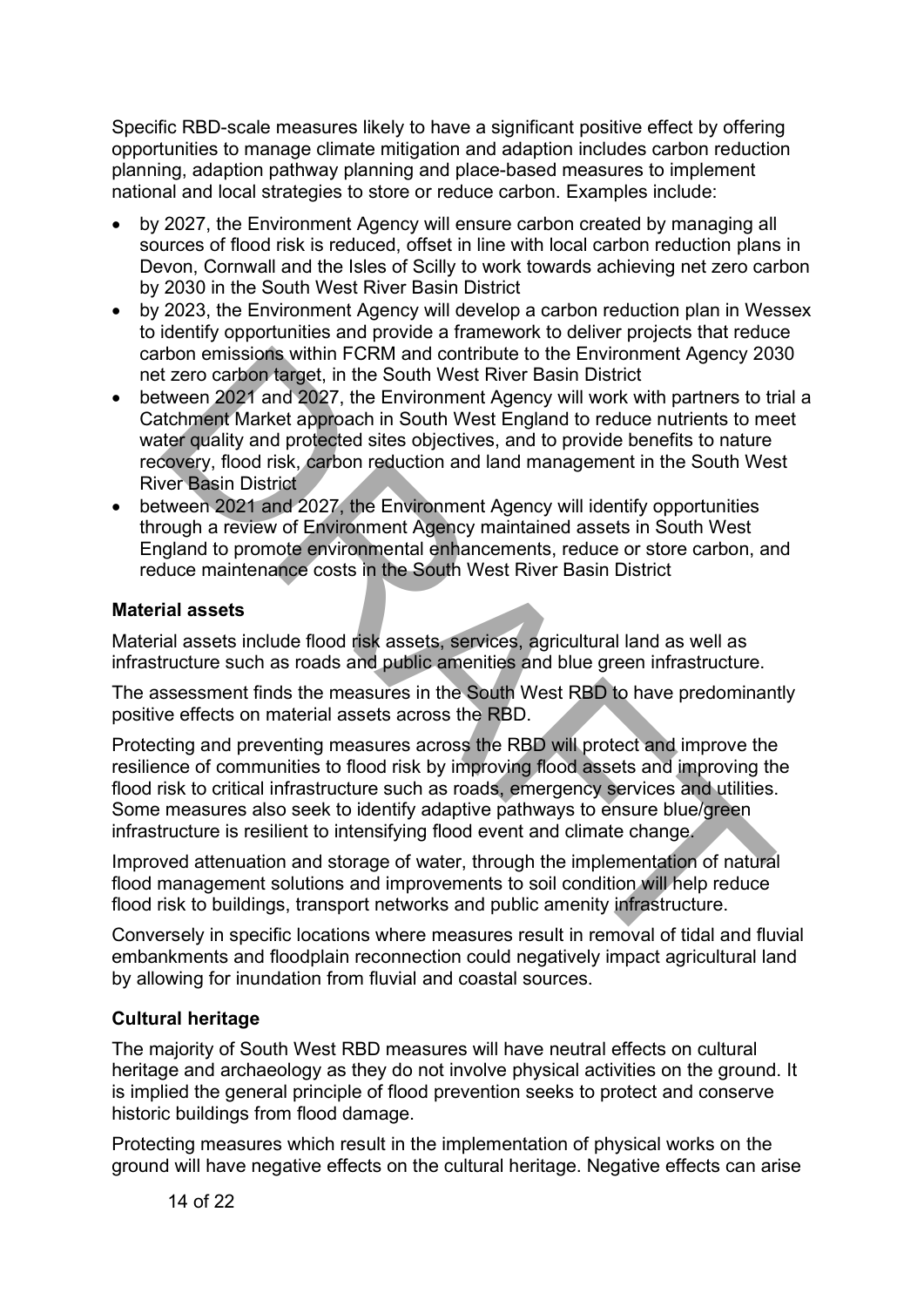Specific RBD-scale measures likely to have a significant positive effect by offering opportunities to manage climate mitigation and adaption includes carbon reduction planning, adaption pathway planning and place-based measures to implement national and local strategies to store or reduce carbon. Examples include:

- by 2027, the Environment Agency will ensure carbon created by managing all sources of flood risk is reduced, offset in line with local carbon reduction plans in Devon, Cornwall and the Isles of Scilly to work towards achieving net zero carbon by 2030 in the South West River Basin District
- by 2023, the Environment Agency will develop a carbon reduction plan in Wessex to identify opportunities and provide a framework to deliver projects that reduce carbon emissions within FCRM and contribute to the Environment Agency 2030 net zero carbon target, in the South West River Basin District
- between 2021 and 2027, the Environment Agency will work with partners to trial a Catchment Market approach in South West England to reduce nutrients to meet water quality and protected sites objectives, and to provide benefits to nature recovery, flood risk, carbon reduction and land management in the South West River Basin District the Environment Agency 20:<br>
the Screen carbot aterget in the Screen Barylin FCRM and contribute to the Environment Agency 20:<br>
threen 2021 and 2027, the Environment Agency will work with partners to tr<br>
threen 2021 and 202
- between 2021 and 2027, the Environment Agency will identify opportunities through a review of Environment Agency maintained assets in South West England to promote environmental enhancements, reduce or store carbon, and reduce maintenance costs in the South West River Basin District

#### <span id="page-13-0"></span>**Material assets**

Material assets include flood risk assets, services, agricultural land as well as infrastructure such as roads and public amenities and blue green infrastructure.

The assessment finds the measures in the South West RBD to have predominantly positive effects on material assets across the RBD.

Protecting and preventing measures across the RBD will protect and improve the resilience of communities to flood risk by improving flood assets and improving the flood risk to critical infrastructure such as roads, emergency services and utilities. Some measures also seek to identify adaptive pathways to ensure blue/green infrastructure is resilient to intensifying flood event and climate change.

Improved attenuation and storage of water, through the implementation of natural flood management solutions and improvements to soil condition will help reduce flood risk to buildings, transport networks and public amenity infrastructure.

Conversely in specific locations where measures result in removal of tidal and fluvial embankments and floodplain reconnection could negatively impact agricultural land by allowing for inundation from fluvial and coastal sources.

#### <span id="page-13-1"></span>**Cultural heritage**

The majority of South West RBD measures will have neutral effects on cultural heritage and archaeology as they do not involve physical activities on the ground. It is implied the general principle of flood prevention seeks to protect and conserve historic buildings from flood damage.

Protecting measures which result in the implementation of physical works on the ground will have negative effects on the cultural heritage. Negative effects can arise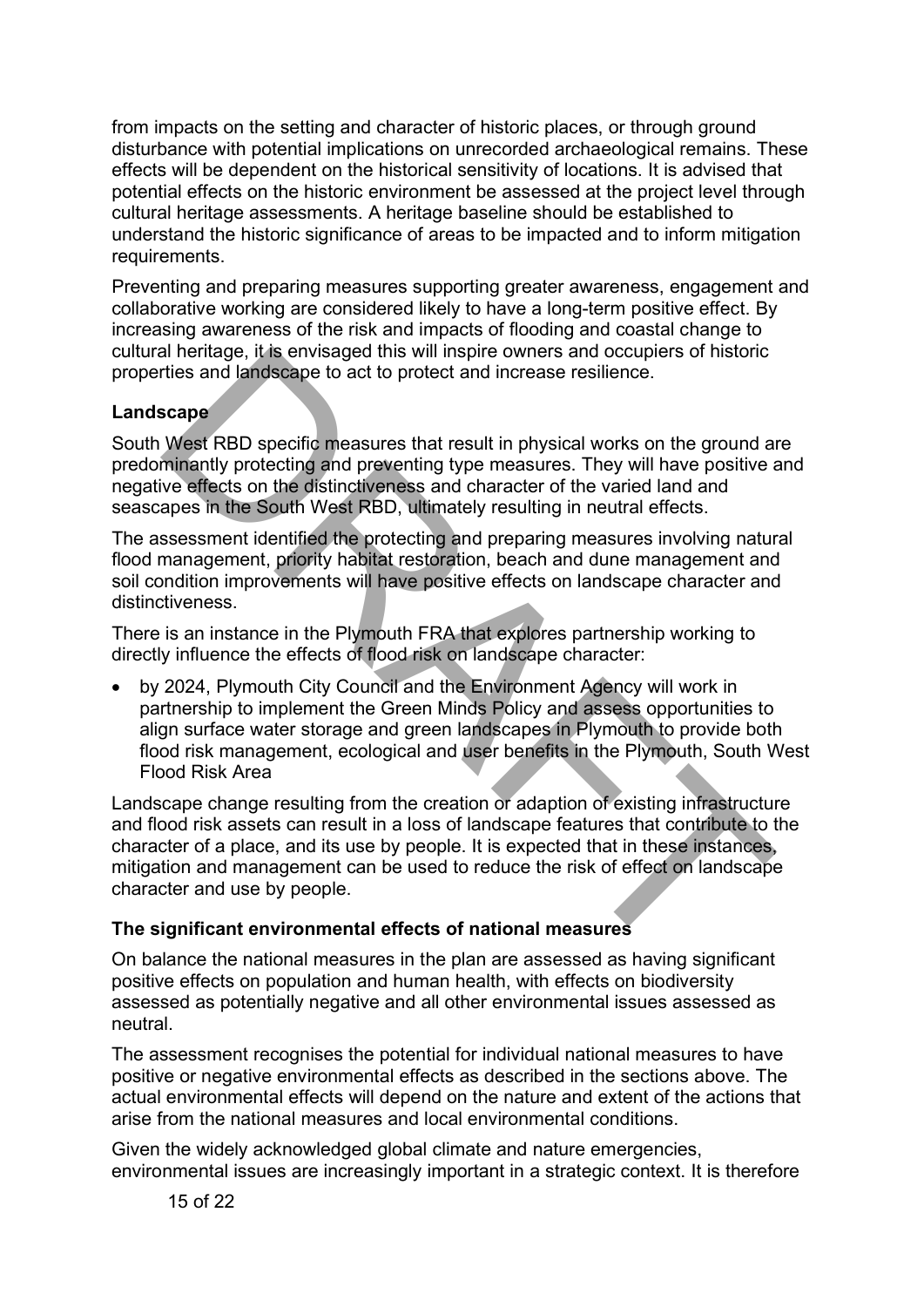from impacts on the setting and character of historic places, or through ground disturbance with potential implications on unrecorded archaeological remains. These effects will be dependent on the historical sensitivity of locations. It is advised that potential effects on the historic environment be assessed at the project level through cultural heritage assessments. A heritage baseline should be established to understand the historic significance of areas to be impacted and to inform mitigation requirements.

Preventing and preparing measures supporting greater awareness, engagement and collaborative working are considered likely to have a long-term positive effect. By increasing awareness of the risk and impacts of flooding and coastal change to cultural heritage, it is envisaged this will inspire owners and occupiers of historic properties and landscape to act to protect and increase resilience.

#### <span id="page-14-0"></span>**Landscape**

South West RBD specific measures that result in physical works on the ground are predominantly protecting and preventing type measures. They will have positive and negative effects on the distinctiveness and character of the varied land and seascapes in the South West RBD, ultimately resulting in neutral effects.

The assessment identified the protecting and preparing measures involving natural flood management, priority habitat restoration, beach and dune management and soil condition improvements will have positive effects on landscape character and distinctiveness.

There is an instance in the Plymouth FRA that explores partnership working to directly influence the effects of flood risk on landscape character:

• by 2024, Plymouth City Council and the Environment Agency will work in partnership to implement the Green Minds Policy and assess opportunities to align surface water storage and green landscapes in Plymouth to provide both flood risk management, ecological and user benefits in the Plymouth, South West Flood Risk Area al heritage, it is envisaged this will inspire owners and occupiers of historic<br>
scape<br>
of the sand landscape to act to protect and increase resilience.<br>
West RBD specific measures that result in physical works on the grou

Landscape change resulting from the creation or adaption of existing infrastructure and flood risk assets can result in a loss of landscape features that contribute to the character of a place, and its use by people. It is expected that in these instances, mitigation and management can be used to reduce the risk of effect on landscape character and use by people.

#### <span id="page-14-1"></span>**The significant environmental effects of national measures**

On balance the national measures in the plan are assessed as having significant positive effects on population and human health, with effects on biodiversity assessed as potentially negative and all other environmental issues assessed as neutral.

The assessment recognises the potential for individual national measures to have positive or negative environmental effects as described in the sections above. The actual environmental effects will depend on the nature and extent of the actions that arise from the national measures and local environmental conditions.

Given the widely acknowledged global climate and nature emergencies, environmental issues are increasingly important in a strategic context. It is therefore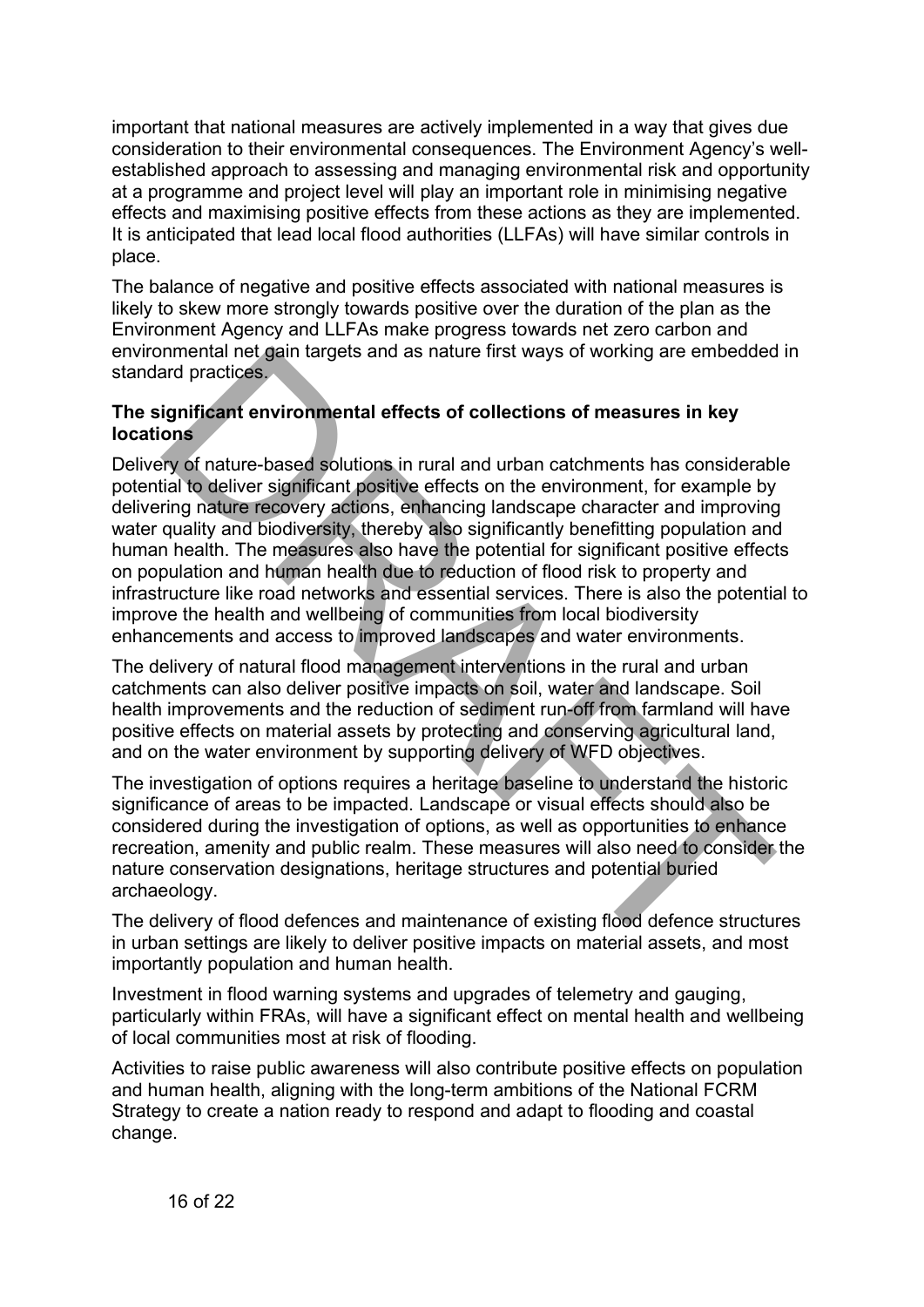important that national measures are actively implemented in a way that gives due consideration to their environmental consequences. The Environment Agency's wellestablished approach to assessing and managing environmental risk and opportunity at a programme and project level will play an important role in minimising negative effects and maximising positive effects from these actions as they are implemented. It is anticipated that lead local flood authorities (LLFAs) will have similar controls in place.

The balance of negative and positive effects associated with national measures is likely to skew more strongly towards positive over the duration of the plan as the Environment Agency and LLFAs make progress towards net zero carbon and environmental net gain targets and as nature first ways of working are embedded in standard practices.

#### <span id="page-15-0"></span>**The significant environmental effects of collections of measures in key locations**

Delivery of nature-based solutions in rural and urban catchments has considerable potential to deliver significant positive effects on the environment, for example by delivering nature recovery actions, enhancing landscape character and improving water quality and biodiversity, thereby also significantly benefitting population and human health. The measures also have the potential for significant positive effects on population and human health due to reduction of flood risk to property and infrastructure like road networks and essential services. There is also the potential to improve the health and wellbeing of communities from local biodiversity enhancements and access to improved landscapes and water environments. nmental net gain targets and as nature first ways of working are embedded<br>
and practices.<br> **Significant environmental effects of collections of measures in key<br>
sons<br>
Significant environmental effects of collections of mea** 

The delivery of natural flood management interventions in the rural and urban catchments can also deliver positive impacts on soil, water and landscape. Soil health improvements and the reduction of sediment run-off from farmland will have positive effects on material assets by protecting and conserving agricultural land, and on the water environment by supporting delivery of WFD objectives.

The investigation of options requires a heritage baseline to understand the historic significance of areas to be impacted. Landscape or visual effects should also be considered during the investigation of options, as well as opportunities to enhance recreation, amenity and public realm. These measures will also need to consider the nature conservation designations, heritage structures and potential buried archaeology.

The delivery of flood defences and maintenance of existing flood defence structures in urban settings are likely to deliver positive impacts on material assets, and most importantly population and human health.

Investment in flood warning systems and upgrades of telemetry and gauging, particularly within FRAs, will have a significant effect on mental health and wellbeing of local communities most at risk of flooding.

Activities to raise public awareness will also contribute positive effects on population and human health, aligning with the long-term ambitions of the National FCRM Strategy to create a nation ready to respond and adapt to flooding and coastal change.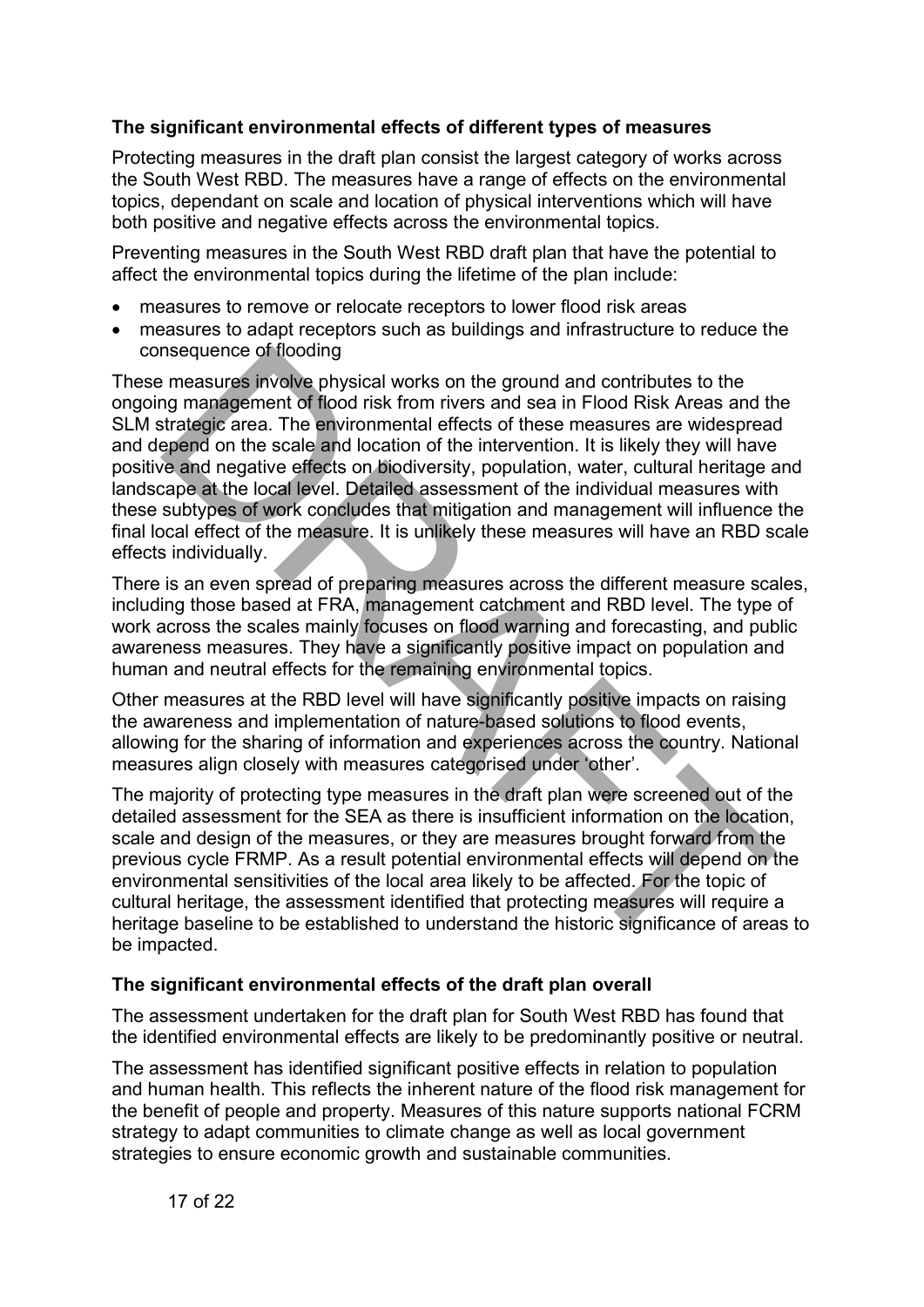#### <span id="page-16-0"></span>**The significant environmental effects of different types of measures**

Protecting measures in the draft plan consist the largest category of works across the South West RBD. The measures have a range of effects on the environmental topics, dependant on scale and location of physical interventions which will have both positive and negative effects across the environmental topics.

Preventing measures in the South West RBD draft plan that have the potential to affect the environmental topics during the lifetime of the plan include:

- measures to remove or relocate receptors to lower flood risk areas
- measures to adapt receptors such as buildings and infrastructure to reduce the consequence of flooding

These measures involve physical works on the ground and contributes to the ongoing management of flood risk from rivers and sea in Flood Risk Areas and the SLM strategic area. The environmental effects of these measures are widespread and depend on the scale and location of the intervention. It is likely they will have positive and negative effects on biodiversity, population, water, cultural heritage and landscape at the local level. Detailed assessment of the individual measures with these subtypes of work concludes that mitigation and management will influence the final local effect of the measure. It is unlikely these measures will have an RBD scale effects individually. nsequence of itooding<br>
measures involve physical works on the ground and contributes to the<br>
measures involve physical works on the ground and contributes to the<br>
groman gement of flood risk from rivers and sea in Flood Ri

There is an even spread of preparing measures across the different measure scales, including those based at FRA, management catchment and RBD level. The type of work across the scales mainly focuses on flood warning and forecasting, and public awareness measures. They have a significantly positive impact on population and human and neutral effects for the remaining environmental topics.

Other measures at the RBD level will have significantly positive impacts on raising the awareness and implementation of nature-based solutions to flood events, allowing for the sharing of information and experiences across the country. National measures align closely with measures categorised under 'other'.

The majority of protecting type measures in the draft plan were screened out of the detailed assessment for the SEA as there is insufficient information on the location, scale and design of the measures, or they are measures brought forward from the previous cycle FRMP. As a result potential environmental effects will depend on the environmental sensitivities of the local area likely to be affected. For the topic of cultural heritage, the assessment identified that protecting measures will require a heritage baseline to be established to understand the historic significance of areas to be impacted.

#### <span id="page-16-1"></span>**The significant environmental effects of the draft plan overall**

The assessment undertaken for the draft plan for South West RBD has found that the identified environmental effects are likely to be predominantly positive or neutral.

The assessment has identified significant positive effects in relation to population and human health. This reflects the inherent nature of the flood risk management for the benefit of people and property. Measures of this nature supports national FCRM strategy to adapt communities to climate change as well as local government strategies to ensure economic growth and sustainable communities.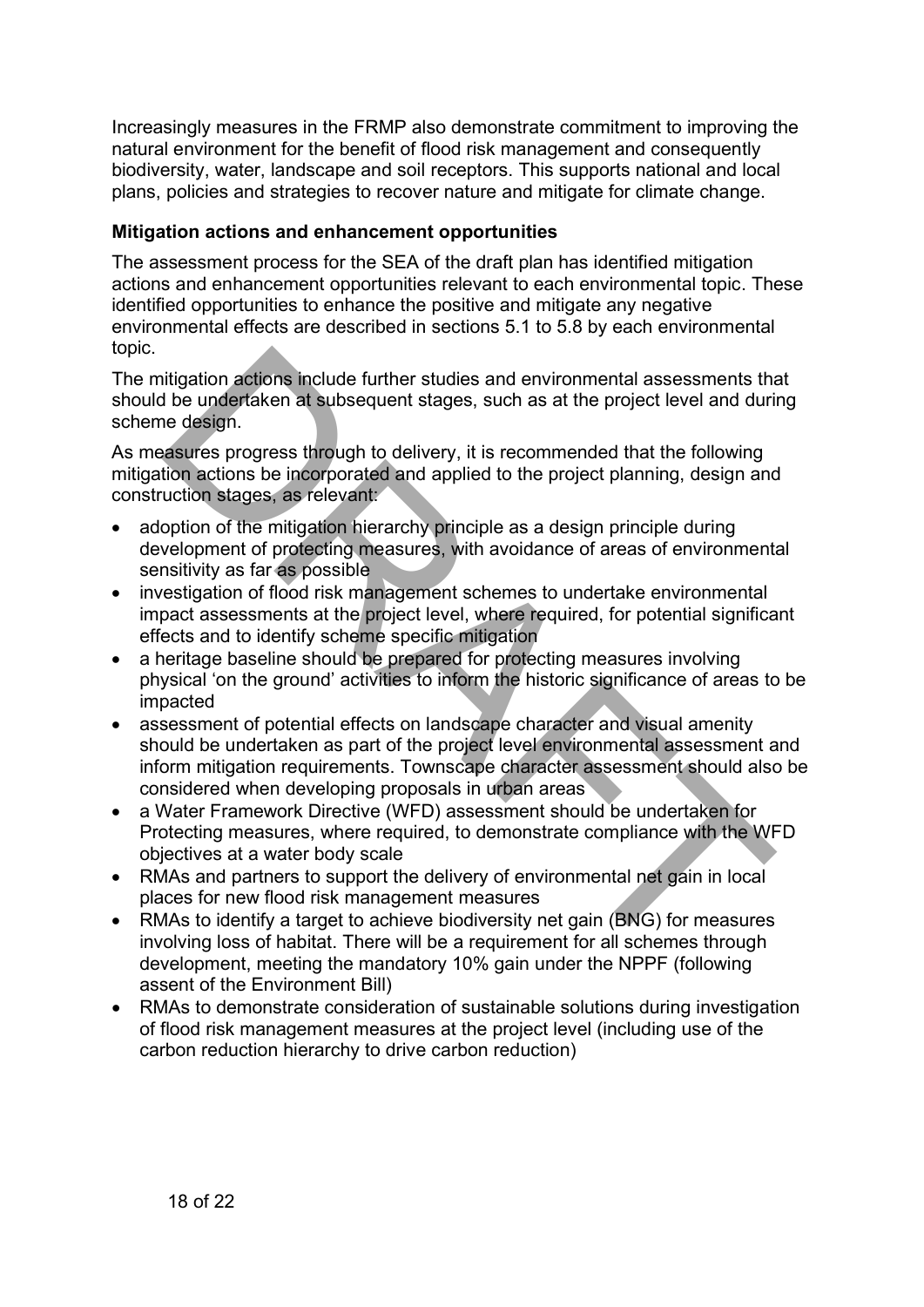Increasingly measures in the FRMP also demonstrate commitment to improving the natural environment for the benefit of flood risk management and consequently biodiversity, water, landscape and soil receptors. This supports national and local plans, policies and strategies to recover nature and mitigate for climate change.

#### <span id="page-17-0"></span>**Mitigation actions and enhancement opportunities**

The assessment process for the SEA of the draft plan has identified mitigation actions and enhancement opportunities relevant to each environmental topic. These identified opportunities to enhance the positive and mitigate any negative environmental effects are described in sections 5.1 to 5.8 by each environmental topic.

The mitigation actions include further studies and environmental assessments that should be undertaken at subsequent stages, such as at the project level and during scheme design.

As measures progress through to delivery, it is recommended that the following mitigation actions be incorporated and applied to the project planning, design and construction stages, as relevant:

- adoption of the mitigation hierarchy principle as a design principle during development of protecting measures, with avoidance of areas of environmental sensitivity as far as possible
- investigation of flood risk management schemes to undertake environmental impact assessments at the project level, where required, for potential significant effects and to identify scheme specific mitigation
- a heritage baseline should be prepared for protecting measures involving physical 'on the ground' activities to inform the historic significance of areas to be impacted
- assessment of potential effects on landscape character and visual amenity should be undertaken as part of the project level environmental assessment and inform mitigation requirements. Townscape character assessment should also be considered when developing proposals in urban areas ilitigation actions include further studies and environmental assessments that<br>the undertaken at subsequent stages, such as at the project level and duri<br>e design.<br>assures progress through to delivery, it is recommended th
- a Water Framework Directive (WFD) assessment should be undertaken for Protecting measures, where required, to demonstrate compliance with the WFD objectives at a water body scale
- RMAs and partners to support the delivery of environmental net gain in local places for new flood risk management measures
- RMAs to identify a target to achieve biodiversity net gain (BNG) for measures involving loss of habitat. There will be a requirement for all schemes through development, meeting the mandatory 10% gain under the NPPF (following assent of the Environment Bill)
- RMAs to demonstrate consideration of sustainable solutions during investigation of flood risk management measures at the project level (including use of the carbon reduction hierarchy to drive carbon reduction)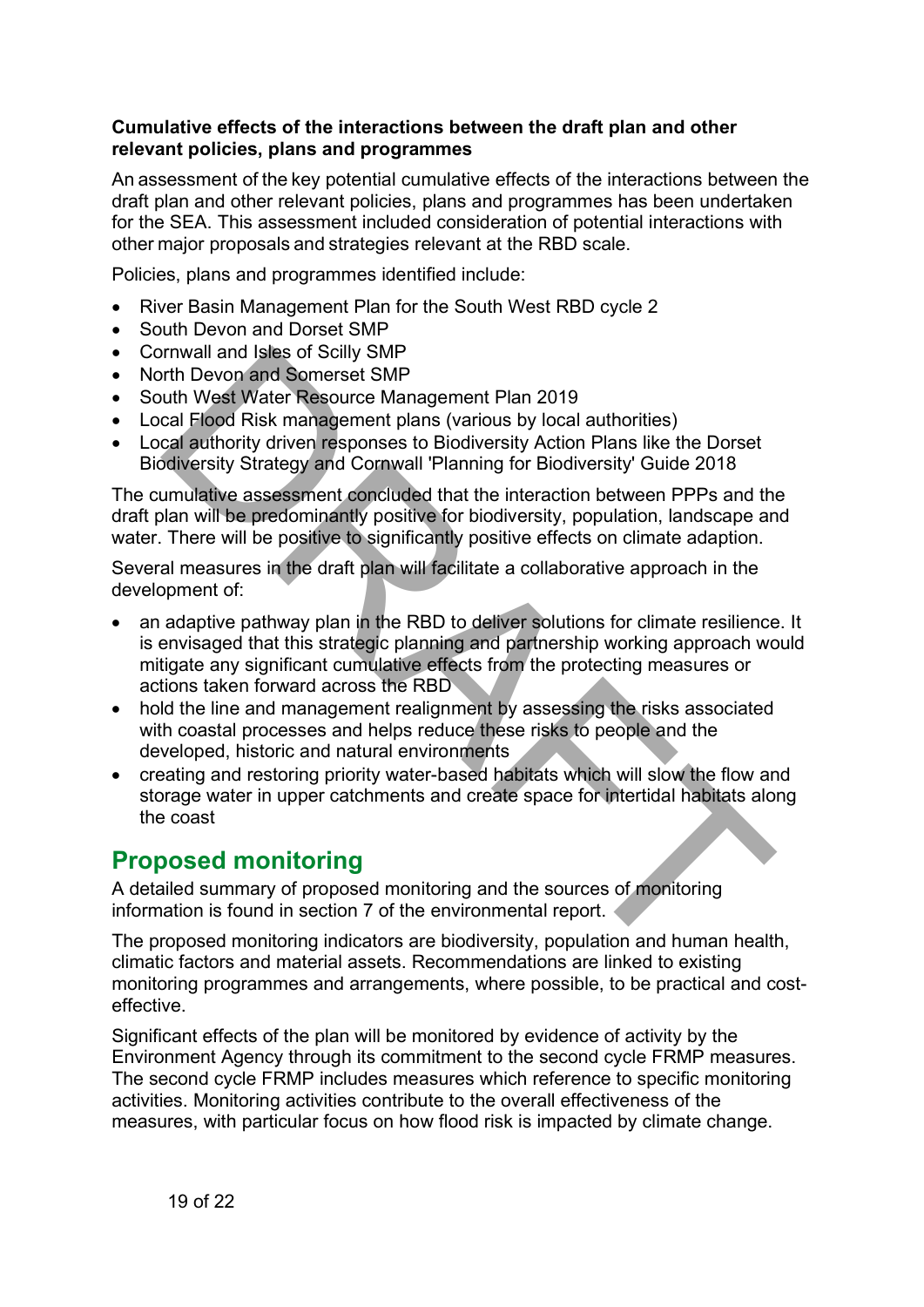#### <span id="page-18-0"></span>**Cumulative effects of the interactions between the draft plan and other relevant policies, plans and programmes**

An assessment of the key potential cumulative effects of the interactions between the draft plan and other relevant policies, plans and programmes has been undertaken for the SEA. This assessment included consideration of potential interactions with other major proposals and strategies relevant at the RBD scale.

Policies, plans and programmes identified include:

- River Basin Management Plan for the South West RBD cycle 2
- South Devon and Dorset SMP
- Cornwall and Isles of Scilly SMP
- North Devon and Somerset SMP
- South West Water Resource Management Plan 2019
- Local Flood Risk management plans (various by local authorities)
- Local authority driven responses to Biodiversity Action Plans like the Dorset Biodiversity Strategy and Cornwall 'Planning for Biodiversity' Guide 2018

The cumulative assessment concluded that the interaction between PPPs and the draft plan will be predominantly positive for biodiversity, population, landscape and water. There will be positive to significantly positive effects on climate adaption.

Several measures in the draft plan will facilitate a collaborative approach in the development of:

- an adaptive pathway plan in the RBD to deliver solutions for climate resilience. It is envisaged that this strategic planning and partnership working approach would mitigate any significant cumulative effects from the protecting measures or actions taken forward across the RBD imvall and Isles of Scilly SMP<br>the Devon and Senerate MP<br>uth Devon and Somerate MP<br>cal Flood Risk management plans (various by local authorities)<br>cal Flood Risk management plans (various by local authorities)<br>cal authority
- hold the line and management realignment by assessing the risks associated with coastal processes and helps reduce these risks to people and the developed, historic and natural environments
- creating and restoring priority water-based habitats which will slow the flow and storage water in upper catchments and create space for intertidal habitats along the coast

### <span id="page-18-1"></span>**Proposed monitoring**

A detailed summary of proposed monitoring and the sources of monitoring information is found in section 7 of the environmental report.

The proposed monitoring indicators are biodiversity, population and human health, climatic factors and material assets. Recommendations are linked to existing monitoring programmes and arrangements, where possible, to be practical and costeffective.

Significant effects of the plan will be monitored by evidence of activity by the Environment Agency through its commitment to the second cycle FRMP measures. The second cycle FRMP includes measures which reference to specific monitoring activities. Monitoring activities contribute to the overall effectiveness of the measures, with particular focus on how flood risk is impacted by climate change.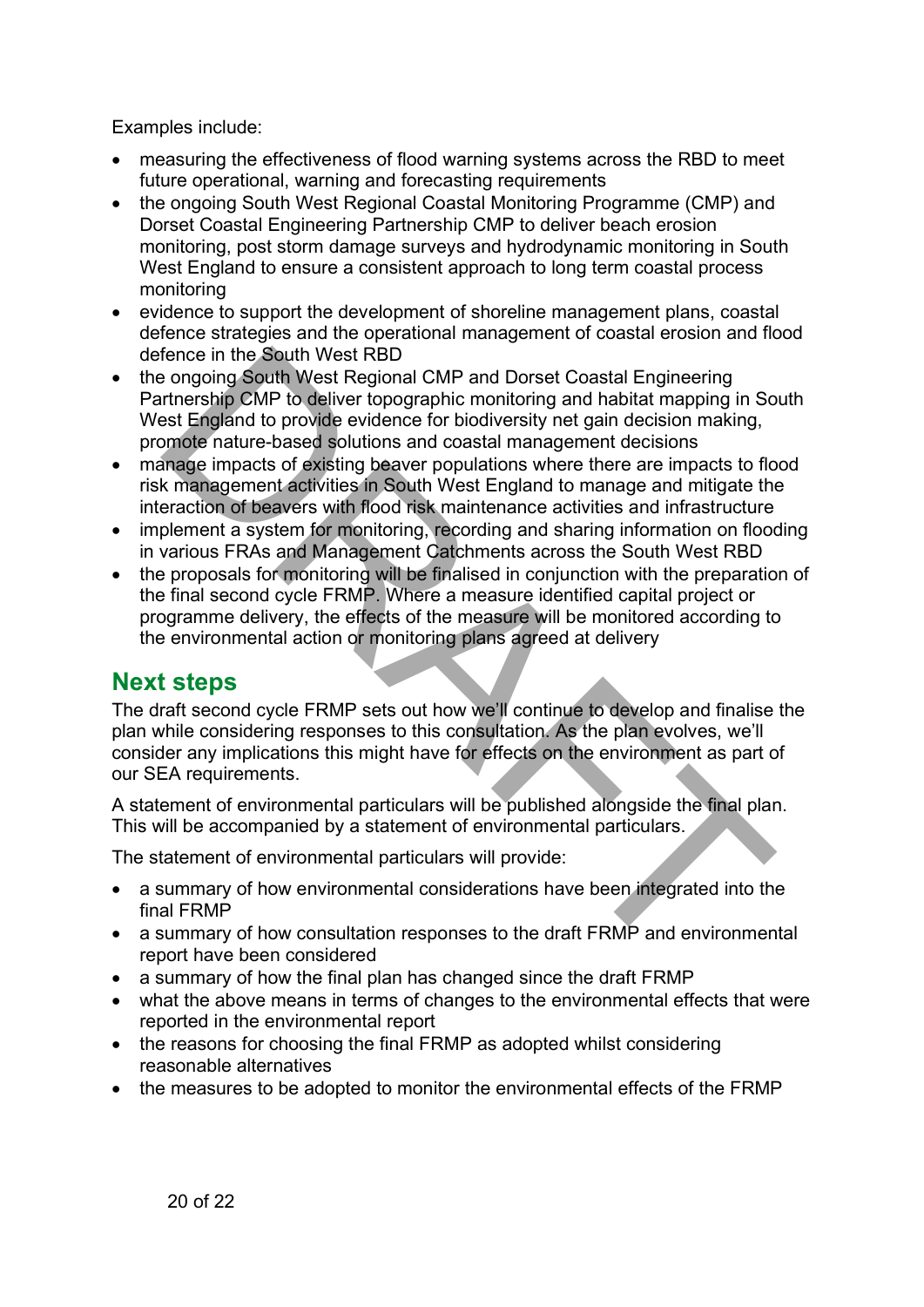Examples include:

- measuring the effectiveness of flood warning systems across the RBD to meet future operational, warning and forecasting requirements
- the ongoing South West Regional Coastal Monitoring Programme (CMP) and Dorset Coastal Engineering Partnership CMP to deliver beach erosion monitoring, post storm damage surveys and hydrodynamic monitoring in South West England to ensure a consistent approach to long term coastal process monitoring
- evidence to support the development of shoreline management plans, coastal defence strategies and the operational management of coastal erosion and flood defence in the South West RBD
- the ongoing South West Regional CMP and Dorset Coastal Engineering Partnership CMP to deliver topographic monitoring and habitat mapping in South West England to provide evidence for biodiversity net gain decision making, promote nature-based solutions and coastal management decisions
- manage impacts of existing beaver populations where there are impacts to flood risk management activities in South West England to manage and mitigate the interaction of beavers with flood risk maintenance activities and infrastructure
- implement a system for monitoring, recording and sharing information on flooding in various FRAs and Management Catchments across the South West RBD
- the proposals for monitoring will be finalised in conjunction with the preparation of the final second cycle FRMP. Where a measure identified capital project or programme delivery, the effects of the measure will be monitored according to the environmental action or monitoring plans agreed at delivery fence in the South West RBD<br>
be ongoing South West Repond CMP and Dorset Coastal Engineering<br>
infunciship CMP to deliver topographic monitoring and habitat mapping in So<br>
strivenship CMP to deliver topographic monitoring a

### <span id="page-19-0"></span>**Next steps**

The draft second cycle FRMP sets out how we'll continue to develop and finalise the plan while considering responses to this consultation. As the plan evolves, we'll consider any implications this might have for effects on the environment as part of our SEA requirements.

A statement of environmental particulars will be published alongside the final plan. This will be accompanied by a statement of environmental particulars.

The statement of environmental particulars will provide:

- a summary of how environmental considerations have been integrated into the final FRMP
- a summary of how consultation responses to the draft FRMP and environmental report have been considered
- a summary of how the final plan has changed since the draft FRMP
- what the above means in terms of changes to the environmental effects that were reported in the environmental report
- the reasons for choosing the final FRMP as adopted whilst considering reasonable alternatives
- the measures to be adopted to monitor the environmental effects of the FRMP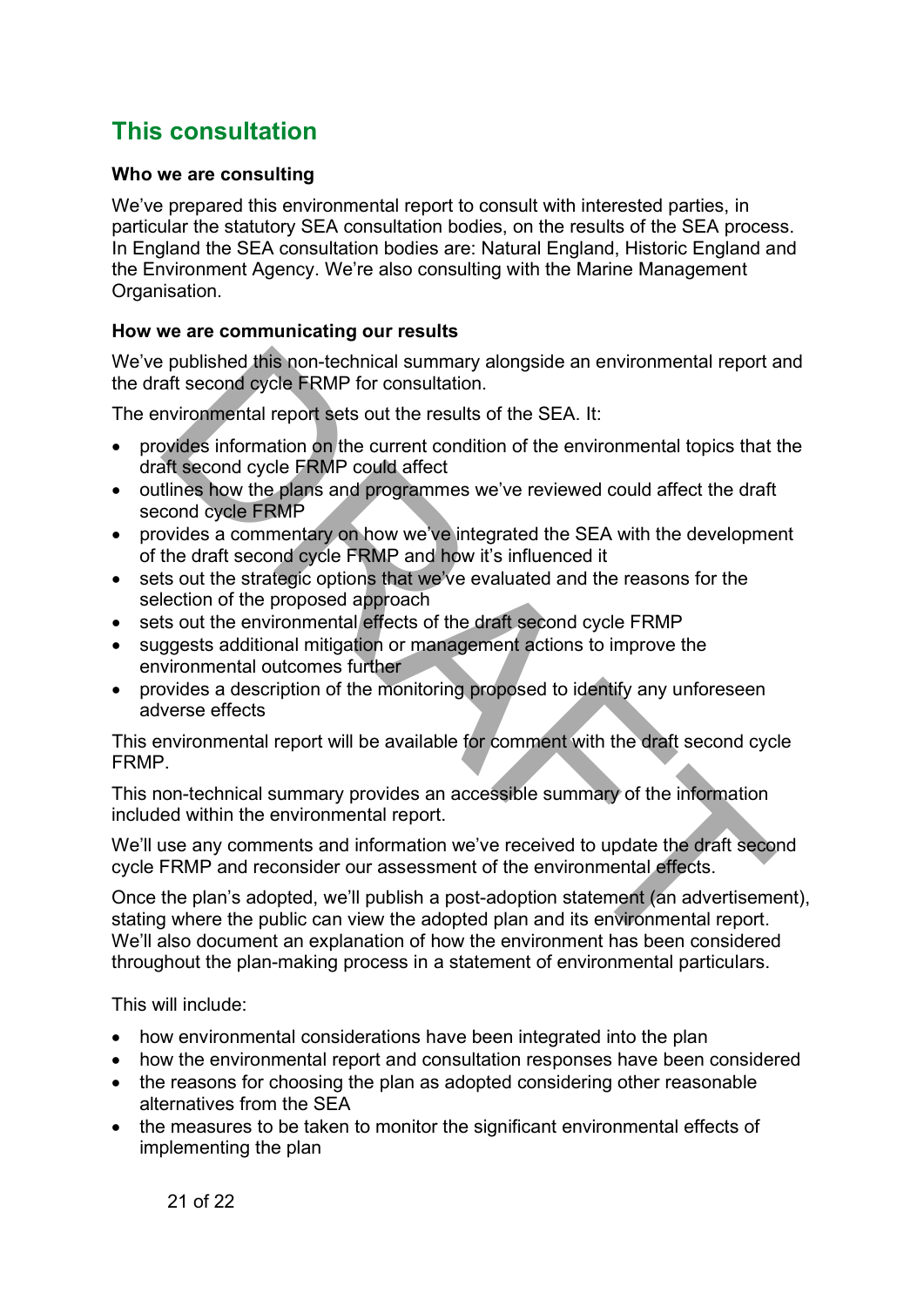# <span id="page-20-0"></span>**This consultation**

#### <span id="page-20-1"></span>**Who we are consulting**

We've prepared this environmental report to consult with interested parties, in particular the statutory SEA consultation bodies, on the results of the SEA process. In England the SEA consultation bodies are: Natural England, Historic England and the Environment Agency. We're also consulting with the Marine Management Organisation.

#### <span id="page-20-2"></span>**How we are communicating our results**

We've published this non-technical summary alongside an environmental report and the draft second cycle FRMP for consultation.

The environmental report sets out the results of the SEA. It:

- provides information on the current condition of the environmental topics that the draft second cycle FRMP could affect
- outlines how the plans and programmes we've reviewed could affect the draft second cycle FRMP
- provides a commentary on how we've integrated the SEA with the development of the draft second cycle FRMP and how it's influenced it
- sets out the strategic options that we've evaluated and the reasons for the selection of the proposed approach
- sets out the environmental effects of the draft second cycle FRMP
- suggests additional mitigation or management actions to improve the environmental outcomes further
- provides a description of the monitoring proposed to identify any unforeseen adverse effects

This environmental report will be available for comment with the draft second cycle FRMP.

This non-technical summary provides an accessible summary of the information included within the environmental report.

We'll use any comments and information we've received to update the draft second cycle FRMP and reconsider our assessment of the environmental effects.

Once the plan's adopted, we'll publish a post-adoption statement (an advertisement), stating where the public can view the adopted plan and its environmental report. We'll also document an explanation of how the environment has been considered throughout the plan-making process in a statement of environmental particulars. is published this non-technical summary alongside an environmental report<br>aft second cycle FRMP for consultation.<br>This promation entits of the SEA. It:<br>the movimental report sets out the results of the SEA. It:<br>avivates in

This will include:

- how environmental considerations have been integrated into the plan
- how the environmental report and consultation responses have been considered
- the reasons for choosing the plan as adopted considering other reasonable alternatives from the SEA
- the measures to be taken to monitor the significant environmental effects of implementing the plan